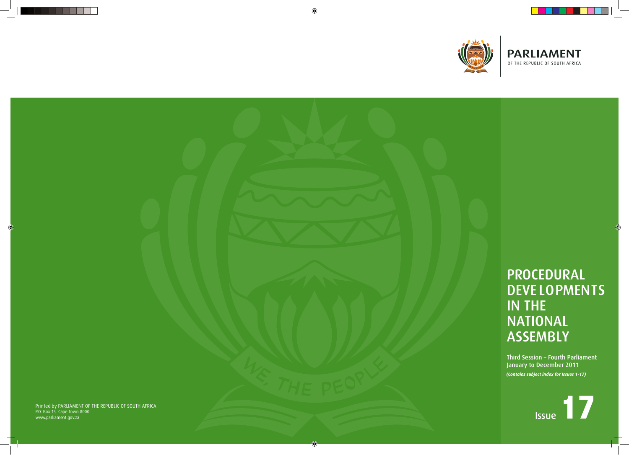# P ROCEDURAL DEVE LOPMENTS **NATIONAL** ASSEMBLY

⊕

Printed by PARLIAMENT OF THE REPUBLIC OF SOUTH AFRICA P.O. Box 15, Cape Town 8000 www.parliame n t.g o v.za





Third Session – Fourth Parliament January to December 2011 *(Contains subject index for Issues 1-17)*

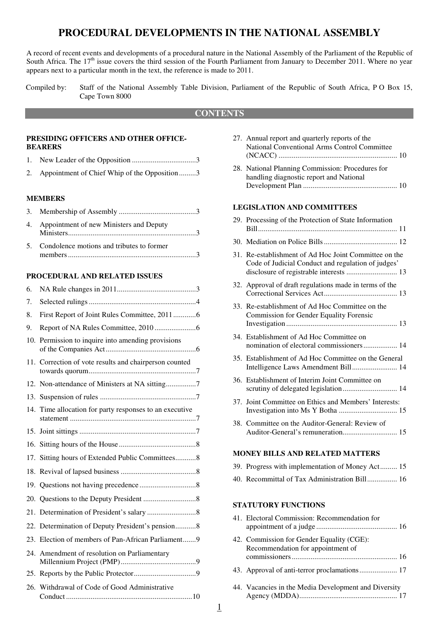# **PROCEDURAL DEVELOPMENTS IN THE NATIONAL ASSEMBLY**

A record of recent events and developments of a procedural nature in the National Assembly of the Parliament of the Republic of South Africa. The  $17<sup>th</sup>$  issue covers the third session of the Fourth Parliament from January to December 2011. Where no year appears next to a particular month in the text, the reference is made to 2011.

Compiled by: Staff of the National Assembly Table Division, Parliament of the Republic of South Africa, P O Box 15, Cape Town 8000

#### **CONTENTS**

#### **PRESIDING OFFICERS AND OTHER OFFICE-BEARERS**

| 2. Appointment of Chief Whip of the Opposition3 |  |
|-------------------------------------------------|--|

#### **MEMBERS**

| 4. Appointment of new Ministers and Deputy   |  |
|----------------------------------------------|--|
| 5. Condolence motions and tributes to former |  |

members .................................................................... 3

#### **PROCEDURAL AND RELATED ISSUES**

| 6.  |                                                         |
|-----|---------------------------------------------------------|
| 7.  |                                                         |
| 8.  | First Report of Joint Rules Committee, 20116            |
| 9.  |                                                         |
| 10. | Permission to inquire into amending provisions          |
|     | 11. Correction of vote results and chairperson counted  |
|     | 12. Non-attendance of Ministers at NA sitting7          |
|     |                                                         |
|     | 14. Time allocation for party responses to an executive |
|     |                                                         |
|     |                                                         |
|     | 17. Sitting hours of Extended Public Committees8        |
|     |                                                         |
|     |                                                         |
|     |                                                         |
|     |                                                         |
|     | 22. Determination of Deputy President's pension8        |
|     | 23. Election of members of Pan-African Parliament9      |
|     | 24. Amendment of resolution on Parliamentary            |
|     |                                                         |
|     | 26. Withdrawal of Code of Good Administrative           |

|     | 27. Annual report and quarterly reports of the<br>National Conventional Arms Control Committee                                                         |
|-----|--------------------------------------------------------------------------------------------------------------------------------------------------------|
|     | 28. National Planning Commission: Procedures for<br>handling diagnostic report and National                                                            |
|     |                                                                                                                                                        |
|     | <b>LEGISLATION AND COMMITTEES</b>                                                                                                                      |
|     | 29. Processing of the Protection of State Information                                                                                                  |
|     |                                                                                                                                                        |
|     | 31. Re-establishment of Ad Hoc Joint Committee on the<br>Code of Judicial Conduct and regulation of judges'<br>disclosure of registrable interests  13 |
|     | 32. Approval of draft regulations made in terms of the                                                                                                 |
|     | 33. Re-establishment of Ad Hoc Committee on the<br><b>Commission for Gender Equality Forensic</b>                                                      |
|     | 34. Establishment of Ad Hoc Committee on<br>nomination of electoral commissioners 14                                                                   |
|     | 35. Establishment of Ad Hoc Committee on the General<br>Intelligence Laws Amendment Bill 14                                                            |
|     | 36. Establishment of Interim Joint Committee on                                                                                                        |
| 37. | Joint Committee on Ethics and Members' Interests:                                                                                                      |
|     | 38. Committee on the Auditor-General: Review of                                                                                                        |
|     | <b>MONEY BILLS AND RELATED MATTERS</b>                                                                                                                 |
|     | 39. Progress with implementation of Money Act 15                                                                                                       |
|     | 40. Recommittal of Tax Administration Bill 16                                                                                                          |
|     | <b>STATUTORY FUNCTIONS</b>                                                                                                                             |
|     | 41. Electoral Commission: Recommendation for                                                                                                           |
|     | 42. Commission for Gender Equality (CGE):<br>Recommendation for appointment of                                                                         |
|     |                                                                                                                                                        |

- 43. Approval of anti-terror proclamations .................... 17
- 44. Vacancies in the Media Development and Diversity Agency (MDDA) .................................................... 17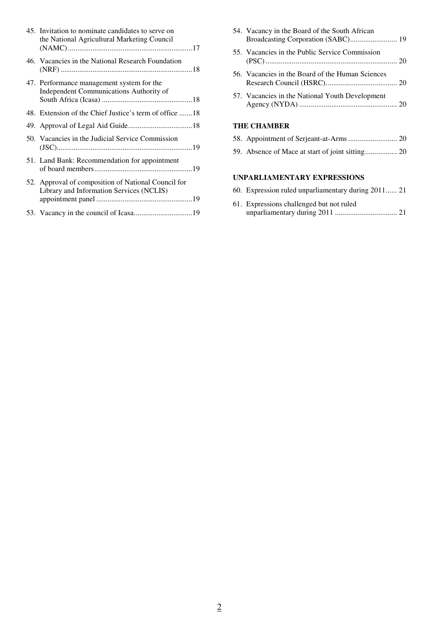| 45. Invitation to nominate candidates to serve on<br>the National Agricultural Marketing Council |
|--------------------------------------------------------------------------------------------------|
| 46. Vacancies in the National Research Foundation                                                |
| 47. Performance management system for the<br>Independent Communications Authority of             |
| 48. Extension of the Chief Justice's term of office 18                                           |
|                                                                                                  |
| 50. Vacancies in the Judicial Service Commission                                                 |
| 51. Land Bank: Recommendation for appointment                                                    |
| 52. Approval of composition of National Council for<br>Library and Information Services (NCLIS)  |
|                                                                                                  |

| 54. Vacancy in the Board of the South African<br>Broadcasting Corporation (SABC) 19 |
|-------------------------------------------------------------------------------------|
| 55. Vacancies in the Public Service Commission                                      |
| 56. Vacancies in the Board of the Human Sciences                                    |
| 57. Vacancies in the National Youth Development                                     |
| <b>THE CHAMBER</b>                                                                  |
|                                                                                     |
|                                                                                     |

## **UNPARLIAMENTARY EXPRESSIONS**

|  | 60. Expression ruled unparliamentary during 2011 21 |  |
|--|-----------------------------------------------------|--|
|  |                                                     |  |

| 61. Expressions challenged but not ruled |  |
|------------------------------------------|--|
|                                          |  |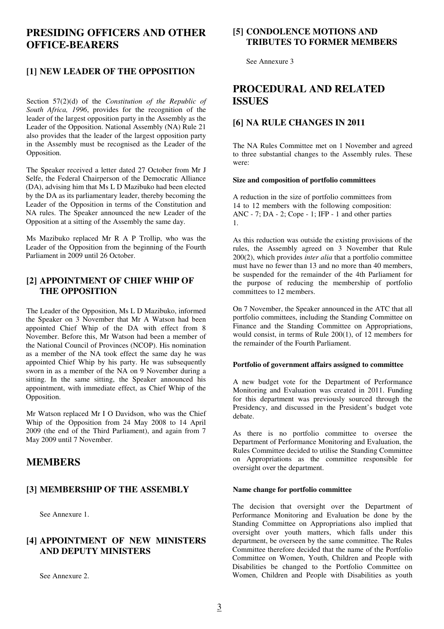# **PRESIDING OFFICERS AND OTHER OFFICE-BEARERS**

## **[1] NEW LEADER OF THE OPPOSITION**

Section 57(2)(d) of the *Constitution of the Republic of South Africa, 1996*, provides for the recognition of the leader of the largest opposition party in the Assembly as the Leader of the Opposition. National Assembly (NA) Rule 21 also provides that the leader of the largest opposition party in the Assembly must be recognised as the Leader of the Opposition.

The Speaker received a letter dated 27 October from Mr J Selfe, the Federal Chairperson of the Democratic Alliance (DA), advising him that Ms L D Mazibuko had been elected by the DA as its parliamentary leader, thereby becoming the Leader of the Opposition in terms of the Constitution and NA rules. The Speaker announced the new Leader of the Opposition at a sitting of the Assembly the same day.

Ms Mazibuko replaced Mr R A P Trollip, who was the Leader of the Opposition from the beginning of the Fourth Parliament in 2009 until 26 October.

#### **[2] APPOINTMENT OF CHIEF WHIP OF THE OPPOSITION**

The Leader of the Opposition, Ms L D Mazibuko, informed the Speaker on 3 November that Mr A Watson had been appointed Chief Whip of the DA with effect from 8 November. Before this, Mr Watson had been a member of the National Council of Provinces (NCOP). His nomination as a member of the NA took effect the same day he was appointed Chief Whip by his party. He was subsequently sworn in as a member of the NA on 9 November during a sitting. In the same sitting, the Speaker announced his appointment, with immediate effect, as Chief Whip of the Opposition.

Mr Watson replaced Mr I O Davidson, who was the Chief Whip of the Opposition from 24 May 2008 to 14 April 2009 (the end of the Third Parliament), and again from 7 May 2009 until 7 November.

# **MEMBERS**

#### **[3] MEMBERSHIP OF THE ASSEMBLY**

See Annexure 1.

#### **[4] APPOINTMENT OF NEW MINISTERS AND DEPUTY MINISTERS**

See Annexure 2.

#### **[5] CONDOLENCE MOTIONS AND TRIBUTES TO FORMER MEMBERS**

See Annexure 3

# **PROCEDURAL AND RELATED ISSUES**

#### **[6] NA RULE CHANGES IN 2011**

The NA Rules Committee met on 1 November and agreed to three substantial changes to the Assembly rules. These were:

#### **Size and composition of portfolio committees**

A reduction in the size of portfolio committees from 14 to 12 members with the following composition: ANC - 7; DA - 2; Cope - 1; IFP - 1 and other parties 1.

As this reduction was outside the existing provisions of the rules, the Assembly agreed on 3 November that Rule 200(2), which provides *inter alia* that a portfolio committee must have no fewer than 13 and no more than 40 members, be suspended for the remainder of the 4th Parliament for the purpose of reducing the membership of portfolio committees to 12 members.

On 7 November, the Speaker announced in the ATC that all portfolio committees, including the Standing Committee on Finance and the Standing Committee on Appropriations, would consist, in terms of Rule 200(1), of 12 members for the remainder of the Fourth Parliament.

#### **Portfolio of government affairs assigned to committee**

A new budget vote for the Department of Performance Monitoring and Evaluation was created in 2011. Funding for this department was previously sourced through the Presidency, and discussed in the President's budget vote debate.

As there is no portfolio committee to oversee the Department of Performance Monitoring and Evaluation, the Rules Committee decided to utilise the Standing Committee on Appropriations as the committee responsible for oversight over the department.

#### **Name change for portfolio committee**

The decision that oversight over the Department of Performance Monitoring and Evaluation be done by the Standing Committee on Appropriations also implied that oversight over youth matters, which falls under this department, be overseen by the same committee. The Rules Committee therefore decided that the name of the Portfolio Committee on Women, Youth, Children and People with Disabilities be changed to the Portfolio Committee on Women, Children and People with Disabilities as youth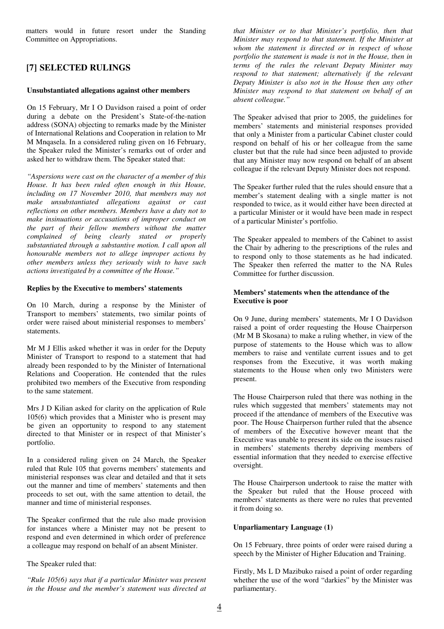matters would in future resort under the Standing Committee on Appropriations.

## **[7] SELECTED RULINGS**

#### **Unsubstantiated allegations against other members**

On 15 February, Mr I O Davidson raised a point of order during a debate on the President's State-of-the-nation address (SONA) objecting to remarks made by the Minister of International Relations and Cooperation in relation to Mr M Mnqasela. In a considered ruling given on 16 February, the Speaker ruled the Minister's remarks out of order and asked her to withdraw them. The Speaker stated that:

*"Aspersions were cast on the character of a member of this House. It has been ruled often enough in this House, including on 17 November 2010, that members may not make unsubstantiated allegations against or cast reflections on other members. Members have a duty not to make insinuations or accusations of improper conduct on the part of their fellow members without the matter complained of being clearly stated or properly substantiated through a substantive motion. I call upon all honourable members not to allege improper actions by other members unless they seriously wish to have such actions investigated by a committee of the House."* 

#### **Replies by the Executive to members' statements**

On 10 March, during a response by the Minister of Transport to members' statements, two similar points of order were raised about ministerial responses to members' statements.

Mr M J Ellis asked whether it was in order for the Deputy Minister of Transport to respond to a statement that had already been responded to by the Minister of International Relations and Cooperation. He contended that the rules prohibited two members of the Executive from responding to the same statement.

Mrs J D Kilian asked for clarity on the application of Rule 105(6) which provides that a Minister who is present may be given an opportunity to respond to any statement directed to that Minister or in respect of that Minister's portfolio.

In a considered ruling given on 24 March, the Speaker ruled that Rule 105 that governs members' statements and ministerial responses was clear and detailed and that it sets out the manner and time of members' statements and then proceeds to set out, with the same attention to detail, the manner and time of ministerial responses.

The Speaker confirmed that the rule also made provision for instances where a Minister may not be present to respond and even determined in which order of preference a colleague may respond on behalf of an absent Minister.

The Speaker ruled that:

*"Rule 105(6) says that if a particular Minister was present in the House and the member's statement was directed at*  *that Minister or to that Minister's portfolio, then that Minister may respond to that statement. If the Minister at whom the statement is directed or in respect of whose portfolio the statement is made is not in the House, then in terms of the rules the relevant Deputy Minister may respond to that statement; alternatively if the relevant Deputy Minister is also not in the House then any other Minister may respond to that statement on behalf of an absent colleague."* 

The Speaker advised that prior to 2005, the guidelines for members' statements and ministerial responses provided that only a Minister from a particular Cabinet cluster could respond on behalf of his or her colleague from the same cluster but that the rule had since been adjusted to provide that any Minister may now respond on behalf of an absent colleague if the relevant Deputy Minister does not respond.

The Speaker further ruled that the rules should ensure that a member's statement dealing with a single matter is not responded to twice, as it would either have been directed at a particular Minister or it would have been made in respect of a particular Minister's portfolio.

The Speaker appealed to members of the Cabinet to assist the Chair by adhering to the prescriptions of the rules and to respond only to those statements as he had indicated. The Speaker then referred the matter to the NA Rules Committee for further discussion.

#### **Members' statements when the attendance of the Executive is poor**

On 9 June, during members' statements, Mr I O Davidson raised a point of order requesting the House Chairperson (Mr M B Skosana) to make a ruling whether, in view of the purpose of statements to the House which was to allow members to raise and ventilate current issues and to get responses from the Executive, it was worth making statements to the House when only two Ministers were present.

The House Chairperson ruled that there was nothing in the rules which suggested that members' statements may not proceed if the attendance of members of the Executive was poor. The House Chairperson further ruled that the absence of members of the Executive however meant that the Executive was unable to present its side on the issues raised in members' statements thereby depriving members of essential information that they needed to exercise effective oversight.

The House Chairperson undertook to raise the matter with the Speaker but ruled that the House proceed with members' statements as there were no rules that prevented it from doing so.

#### **Unparliamentary Language (1)**

On 15 February, three points of order were raised during a speech by the Minister of Higher Education and Training.

Firstly, Ms L D Mazibuko raised a point of order regarding whether the use of the word "darkies" by the Minister was parliamentary.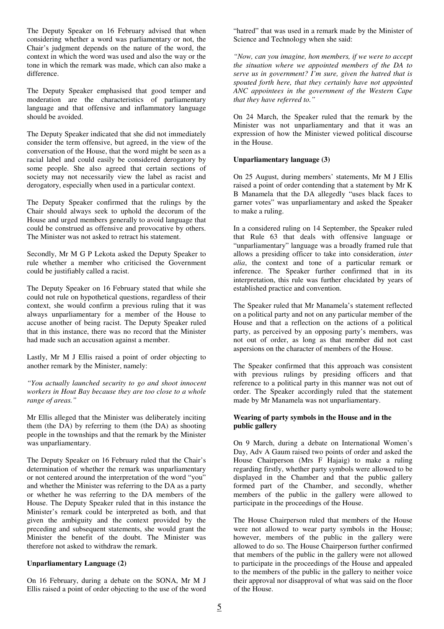The Deputy Speaker on 16 February advised that when considering whether a word was parliamentary or not, the Chair's judgment depends on the nature of the word, the context in which the word was used and also the way or the tone in which the remark was made, which can also make a difference.

The Deputy Speaker emphasised that good temper and moderation are the characteristics of parliamentary language and that offensive and inflammatory language should be avoided.

The Deputy Speaker indicated that she did not immediately consider the term offensive, but agreed, in the view of the conversation of the House, that the word might be seen as a racial label and could easily be considered derogatory by some people. She also agreed that certain sections of society may not necessarily view the label as racist and derogatory, especially when used in a particular context.

The Deputy Speaker confirmed that the rulings by the Chair should always seek to uphold the decorum of the House and urged members generally to avoid language that could be construed as offensive and provocative by others. The Minister was not asked to retract his statement.

Secondly, Mr M G P Lekota asked the Deputy Speaker to rule whether a member who criticised the Government could be justifiably called a racist.

The Deputy Speaker on 16 February stated that while she could not rule on hypothetical questions, regardless of their context, she would confirm a previous ruling that it was always unparliamentary for a member of the House to accuse another of being racist. The Deputy Speaker ruled that in this instance, there was no record that the Minister had made such an accusation against a member.

Lastly, Mr M J Ellis raised a point of order objecting to another remark by the Minister, namely:

*"You actually launched security to go and shoot innocent workers in Hout Bay because they are too close to a whole range of areas."* 

Mr Ellis alleged that the Minister was deliberately inciting them (the DA) by referring to them (the DA) as shooting people in the townships and that the remark by the Minister was unparliamentary.

The Deputy Speaker on 16 February ruled that the Chair's determination of whether the remark was unparliamentary or not centered around the interpretation of the word "you" and whether the Minister was referring to the DA as a party or whether he was referring to the DA members of the House. The Deputy Speaker ruled that in this instance the Minister's remark could be interpreted as both, and that given the ambiguity and the context provided by the preceding and subsequent statements, she would grant the Minister the benefit of the doubt. The Minister was therefore not asked to withdraw the remark.

#### **Unparliamentary Language (2)**

On 16 February, during a debate on the SONA, Mr M J Ellis raised a point of order objecting to the use of the word "hatred" that was used in a remark made by the Minister of Science and Technology when she said:

*"Now, can you imagine, hon members, if we were to accept the situation where we appointed members of the DA to serve us in government? I'm sure, given the hatred that is spouted forth here, that they certainly have not appointed ANC appointees in the government of the Western Cape that they have referred to."* 

On 24 March, the Speaker ruled that the remark by the Minister was not unparliamentary and that it was an expression of how the Minister viewed political discourse in the House.

#### **Unparliamentary language (3)**

On 25 August, during members' statements, Mr M J Ellis raised a point of order contending that a statement by Mr K B Manamela that the DA allegedly "uses black faces to garner votes" was unparliamentary and asked the Speaker to make a ruling.

In a considered ruling on 14 September, the Speaker ruled that Rule 63 that deals with offensive language or "unparliamentary" language was a broadly framed rule that allows a presiding officer to take into consideration, *inter alia*, the context and tone of a particular remark or inference. The Speaker further confirmed that in its interpretation, this rule was further elucidated by years of established practice and convention.

The Speaker ruled that Mr Manamela's statement reflected on a political party and not on any particular member of the House and that a reflection on the actions of a political party, as perceived by an opposing party's members, was not out of order, as long as that member did not cast aspersions on the character of members of the House.

The Speaker confirmed that this approach was consistent with previous rulings by presiding officers and that reference to a political party in this manner was not out of order. The Speaker accordingly ruled that the statement made by Mr Manamela was not unparliamentary.

#### **Wearing of party symbols in the House and in the public gallery**

On 9 March, during a debate on International Women's Day, Adv A Gaum raised two points of order and asked the House Chairperson (Mrs F Hajaig) to make a ruling regarding firstly, whether party symbols were allowed to be displayed in the Chamber and that the public gallery formed part of the Chamber, and secondly, whether members of the public in the gallery were allowed to participate in the proceedings of the House.

The House Chairperson ruled that members of the House were not allowed to wear party symbols in the House; however, members of the public in the gallery were allowed to do so. The House Chairperson further confirmed that members of the public in the gallery were not allowed to participate in the proceedings of the House and appealed to the members of the public in the gallery to neither voice their approval nor disapproval of what was said on the floor of the House.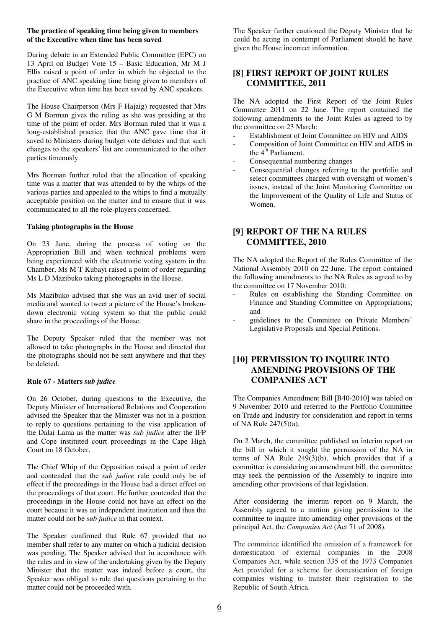#### **The practice of speaking time being given to members of the Executive when time has been saved**

During debate in an Extended Public Committee (EPC) on 13 April on Budget Vote 15 – Basic Education, Mr M J Ellis raised a point of order in which he objected to the practice of ANC speaking time being given to members of the Executive when time has been saved by ANC speakers.

The House Chairperson (Mrs F Hajaig) requested that Mrs G M Borman gives the ruling as she was presiding at the time of the point of order. Mrs Borman ruled that it was a long-established practice that the ANC gave time that it saved to Ministers during budget vote debates and that such changes to the speakers' list are communicated to the other parties timeously.

Mrs Borman further ruled that the allocation of speaking time was a matter that was attended to by the whips of the various parties and appealed to the whips to find a mutually acceptable position on the matter and to ensure that it was communicated to all the role-players concerned.

#### **Taking photographs in the House**

On 23 June, during the process of voting on the Appropriation Bill and when technical problems were being experienced with the electronic voting system in the Chamber, Ms M T Kubayi raised a point of order regarding Ms L D Mazibuko taking photographs in the House.

Ms Mazibuko advised that she was an avid user of social media and wanted to tweet a picture of the House's brokendown electronic voting system so that the public could share in the proceedings of the House.

The Deputy Speaker ruled that the member was not allowed to take photographs in the House and directed that the photographs should not be sent anywhere and that they be deleted.

#### **Rule 67 - Matters** *sub judice*

On 26 October, during questions to the Executive, the Deputy Minister of International Relations and Cooperation advised the Speaker that the Minister was not in a position to reply to questions pertaining to the visa application of the Dalai Lama as the matter was *sub judice* after the IFP and Cope instituted court proceedings in the Cape High Court on 18 October.

The Chief Whip of the Opposition raised a point of order and contended that the *sub judice* rule could only be of effect if the proceedings in the House had a direct effect on the proceedings of that court. He further contended that the proceedings in the House could not have an effect on the court because it was an independent institution and thus the matter could not be *sub judice* in that context.

The Speaker confirmed that Rule 67 provided that no member shall refer to any matter on which a judicial decision was pending. The Speaker advised that in accordance with the rules and in view of the undertaking given by the Deputy Minister that the matter was indeed before a court, the Speaker was obliged to rule that questions pertaining to the matter could not be proceeded with.

The Speaker further cautioned the Deputy Minister that he could be acting in contempt of Parliament should he have given the House incorrect information.

## **[8] FIRST REPORT OF JOINT RULES COMMITTEE, 2011**

The NA adopted the First Report of the Joint Rules Committee 2011 on 22 June. The report contained the following amendments to the Joint Rules as agreed to by the committee on 23 March:

- Establishment of Joint Committee on HIV and AIDS
- Composition of Joint Committee on HIV and AIDS in the  $4^{\text{th}}$  Parliament.
- Consequential numbering changes
- Consequential changes referring to the portfolio and select committees charged with oversight of women's issues, instead of the Joint Monitoring Committee on the Improvement of the Quality of Life and Status of Women.

## **[9] REPORT OF THE NA RULES COMMITTEE, 2010**

The NA adopted the Report of the Rules Committee of the National Assembly 2010 on 22 June. The report contained the following amendments to the NA Rules as agreed to by the committee on 17 November 2010:

- Rules on establishing the Standing Committee on Finance and Standing Committee on Appropriations; and
- guidelines to the Committee on Private Members' Legislative Proposals and Special Petitions.

## **[10] PERMISSION TO INQUIRE INTO AMENDING PROVISIONS OF THE COMPANIES ACT**

The Companies Amendment Bill [B40-2010] was tabled on 9 November 2010 and referred to the Portfolio Committee on Trade and Industry for consideration and report in terms of NA Rule 247(5)(a).

On 2 March, the committee published an interim report on the bill in which it sought the permission of the NA in terms of NA Rule  $249(3)(b)$ , which provides that if a committee is considering an amendment bill, the committee may seek the permission of the Assembly to inquire into amending other provisions of that legislation.

After considering the interim report on 9 March, the Assembly agreed to a motion giving permission to the committee to inquire into amending other provisions of the principal Act, the *Companies Act* (Act 71 of 2008).

The committee identified the omission of a framework for domestication of external companies in the 2008 Companies Act, while section 335 of the 1973 Companies Act provided for a scheme for domestication of foreign companies wishing to transfer their registration to the Republic of South Africa.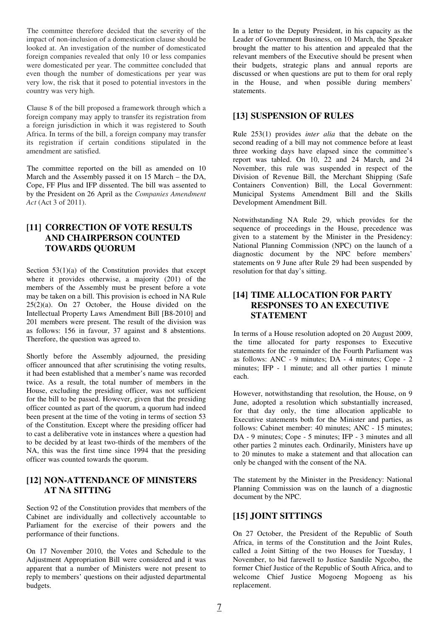The committee therefore decided that the severity of the impact of non-inclusion of a domestication clause should be looked at. An investigation of the number of domesticated foreign companies revealed that only 10 or less companies were domesticated per year. The committee concluded that even though the number of domestications per year was very low, the risk that it posed to potential investors in the country was very high.

Clause 8 of the bill proposed a framework through which a foreign company may apply to transfer its registration from a foreign jurisdiction in which it was registered to South Africa. In terms of the bill, a foreign company may transfer its registration if certain conditions stipulated in the amendment are satisfied.

The committee reported on the bill as amended on 10 March and the Assembly passed it on 15 March – the DA, Cope, FF Plus and IFP dissented. The bill was assented to by the President on 26 April as the *Companies Amendment Act* (Act 3 of 2011).

#### **[11] CORRECTION OF VOTE RESULTS AND CHAIRPERSON COUNTED TOWARDS QUORUM**

Section  $53(1)(a)$  of the Constitution provides that except where it provides otherwise, a majority (201) of the members of the Assembly must be present before a vote may be taken on a bill. This provision is echoed in NA Rule  $25(2)(a)$ . On 27 October, the House divided on the Intellectual Property Laws Amendment Bill [B8-2010] and 201 members were present. The result of the division was as follows: 156 in favour, 37 against and 8 abstentions. Therefore, the question was agreed to.

Shortly before the Assembly adjourned, the presiding officer announced that after scrutinising the voting results, it had been established that a member's name was recorded twice. As a result, the total number of members in the House, excluding the presiding officer, was not sufficient for the bill to be passed. However, given that the presiding officer counted as part of the quorum, a quorum had indeed been present at the time of the voting in terms of section 53 of the Constitution. Except where the presiding officer had to cast a deliberative vote in instances where a question had to be decided by at least two-thirds of the members of the NA, this was the first time since 1994 that the presiding officer was counted towards the quorum.

#### **[12] NON-ATTENDANCE OF MINISTERS AT NA SITTING**

Section 92 of the Constitution provides that members of the Cabinet are individually and collectively accountable to Parliament for the exercise of their powers and the performance of their functions.

On 17 November 2010, the Votes and Schedule to the Adjustment Appropriation Bill were considered and it was apparent that a number of Ministers were not present to reply to members' questions on their adjusted departmental budgets.

In a letter to the Deputy President, in his capacity as the Leader of Government Business, on 10 March, the Speaker brought the matter to his attention and appealed that the relevant members of the Executive should be present when their budgets, strategic plans and annual reports are discussed or when questions are put to them for oral reply in the House, and when possible during members' statements.

# **[13] SUSPENSION OF RULES**

Rule 253(1) provides *inter alia* that the debate on the second reading of a bill may not commence before at least three working days have elapsed since the committee's report was tabled. On 10, 22 and 24 March, and 24 November, this rule was suspended in respect of the Division of Revenue Bill, the Merchant Shipping (Safe Containers Convention) Bill, the Local Government: Municipal Systems Amendment Bill and the Skills Development Amendment Bill.

Notwithstanding NA Rule 29, which provides for the sequence of proceedings in the House, precedence was given to a statement by the Minister in the Presidency: National Planning Commission (NPC) on the launch of a diagnostic document by the NPC before members' statements on 9 June after Rule 29 had been suspended by resolution for that day's sitting.

#### **[14] TIME ALLOCATION FOR PARTY RESPONSES TO AN EXECUTIVE STATEMENT**

In terms of a House resolution adopted on 20 August 2009, the time allocated for party responses to Executive statements for the remainder of the Fourth Parliament was as follows: ANC - 9 minutes; DA - 4 minutes; Cope - 2 minutes; IFP - 1 minute; and all other parties 1 minute each.

However, notwithstanding that resolution, the House, on 9 June, adopted a resolution which substantially increased, for that day only, the time allocation applicable to Executive statements both for the Minister and parties, as follows: Cabinet member: 40 minutes; ANC - 15 minutes; DA - 9 minutes; Cope - 5 minutes; IFP - 3 minutes and all other parties 2 minutes each. Ordinarily, Ministers have up to 20 minutes to make a statement and that allocation can only be changed with the consent of the NA.

The statement by the Minister in the Presidency: National Planning Commission was on the launch of a diagnostic document by the NPC.

#### **[15] JOINT SITTINGS**

On 27 October, the President of the Republic of South Africa, in terms of the Constitution and the Joint Rules, called a Joint Sitting of the two Houses for Tuesday, 1 November, to bid farewell to Justice Sandile Ngcobo, the former Chief Justice of the Republic of South Africa, and to welcome Chief Justice Mogoeng Mogoeng as his replacement.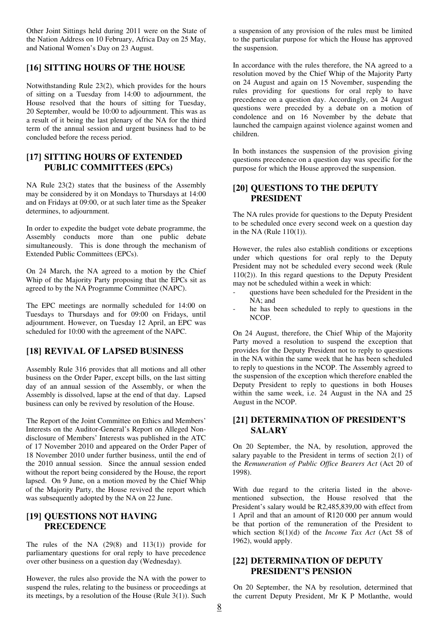Other Joint Sittings held during 2011 were on the State of the Nation Address on 10 February, Africa Day on 25 May, and National Women's Day on 23 August.

#### **[16] SITTING HOURS OF THE HOUSE**

Notwithstanding Rule 23(2), which provides for the hours of sitting on a Tuesday from 14:00 to adjournment, the House resolved that the hours of sitting for Tuesday, 20 September, would be 10:00 to adjournment. This was as a result of it being the last plenary of the NA for the third term of the annual session and urgent business had to be concluded before the recess period.

#### **[17] SITTING HOURS OF EXTENDED PUBLIC COMMITTEES (EPCs)**

NA Rule 23(2) states that the business of the Assembly may be considered by it on Mondays to Thursdays at 14:00 and on Fridays at 09:00, or at such later time as the Speaker determines, to adjournment.

In order to expedite the budget vote debate programme, the Assembly conducts more than one public debate simultaneously. This is done through the mechanism of Extended Public Committees (EPCs).

On 24 March, the NA agreed to a motion by the Chief Whip of the Majority Party proposing that the EPCs sit as agreed to by the NA Programme Committee (NAPC).

The EPC meetings are normally scheduled for 14:00 on Tuesdays to Thursdays and for 09:00 on Fridays, until adjournment. However, on Tuesday 12 April, an EPC was scheduled for 10:00 with the agreement of the NAPC.

#### **[18] REVIVAL OF LAPSED BUSINESS**

Assembly Rule 316 provides that all motions and all other business on the Order Paper, except bills, on the last sitting day of an annual session of the Assembly, or when the Assembly is dissolved, lapse at the end of that day. Lapsed business can only be revived by resolution of the House.

The Report of the Joint Committee on Ethics and Members' Interests on the Auditor-General's Report on Alleged Nondisclosure of Members' Interests was published in the ATC of 17 November 2010 and appeared on the Order Paper of 18 November 2010 under further business, until the end of the 2010 annual session. Since the annual session ended without the report being considered by the House, the report lapsed. On 9 June, on a motion moved by the Chief Whip of the Majority Party, the House revived the report which was subsequently adopted by the NA on 22 June.

#### **[19] QUESTIONS NOT HAVING PRECEDENCE**

The rules of the NA (29(8) and 113(1)) provide for parliamentary questions for oral reply to have precedence over other business on a question day (Wednesday).

However, the rules also provide the NA with the power to suspend the rules, relating to the business or proceedings at its meetings, by a resolution of the House (Rule 3(1)). Such a suspension of any provision of the rules must be limited to the particular purpose for which the House has approved the suspension.

In accordance with the rules therefore, the NA agreed to a resolution moved by the Chief Whip of the Majority Party on 24 August and again on 15 November, suspending the rules providing for questions for oral reply to have precedence on a question day. Accordingly, on 24 August questions were preceded by a debate on a motion of condolence and on 16 November by the debate that launched the campaign against violence against women and children.

In both instances the suspension of the provision giving questions precedence on a question day was specific for the purpose for which the House approved the suspension.

#### **[20] QUESTIONS TO THE DEPUTY PRESIDENT**

The NA rules provide for questions to the Deputy President to be scheduled once every second week on a question day in the NA (Rule 110(1)).

However, the rules also establish conditions or exceptions under which questions for oral reply to the Deputy President may not be scheduled every second week (Rule 110(2)). In this regard questions to the Deputy President may not be scheduled within a week in which:

- questions have been scheduled for the President in the  $NA \cdot$  and
- he has been scheduled to reply to questions in the NCOP.

On 24 August, therefore, the Chief Whip of the Majority Party moved a resolution to suspend the exception that provides for the Deputy President not to reply to questions in the NA within the same week that he has been scheduled to reply to questions in the NCOP. The Assembly agreed to the suspension of the exception which therefore enabled the Deputy President to reply to questions in both Houses within the same week, i.e. 24 August in the NA and 25 August in the NCOP.

#### **[21] DETERMINATION OF PRESIDENT'S SALARY**

On 20 September, the NA, by resolution, approved the salary payable to the President in terms of section 2(1) of the *Remuneration of Public Office Bearers Act* (Act 20 of 1998).

With due regard to the criteria listed in the abovementioned subsection, the House resolved that the President's salary would be R2,485,839,00 with effect from 1 April and that an amount of R120 000 per annum would be that portion of the remuneration of the President to which section 8(1)(d) of the *Income Tax Act* (Act 58 of 1962), would apply.

#### **[22] DETERMINATION OF DEPUTY PRESIDENT'S PENSION**

On 20 September, the NA by resolution, determined that the current Deputy President, Mr K P Motlanthe, would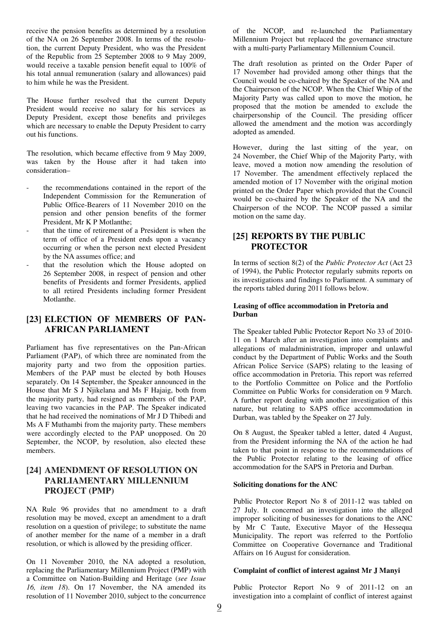receive the pension benefits as determined by a resolution of the NA on 26 September 2008. In terms of the resolution, the current Deputy President, who was the President of the Republic from 25 September 2008 to 9 May 2009, would receive a taxable pension benefit equal to 100% of his total annual remuneration (salary and allowances) paid to him while he was the President.

The House further resolved that the current Deputy President would receive no salary for his services as Deputy President, except those benefits and privileges which are necessary to enable the Deputy President to carry out his functions.

The resolution, which became effective from 9 May 2009, was taken by the House after it had taken into consideration–

- the recommendations contained in the report of the Independent Commission for the Remuneration of Public Office-Bearers of 11 November 2010 on the pension and other pension benefits of the former President, Mr K P Motlanthe;
- that the time of retirement of a President is when the term of office of a President ends upon a vacancy occurring or when the person next elected President by the NA assumes office; and
- that the resolution which the House adopted on 26 September 2008, in respect of pension and other benefits of Presidents and former Presidents, applied to all retired Presidents including former President Motlanthe.

#### **[23] ELECTION OF MEMBERS OF PAN-AFRICAN PARLIAMENT**

Parliament has five representatives on the Pan-African Parliament (PAP), of which three are nominated from the majority party and two from the opposition parties. Members of the PAP must be elected by both Houses separately. On 14 September, the Speaker announced in the House that Mr S J Njikelana and Ms F Hajaig, both from the majority party, had resigned as members of the PAP, leaving two vacancies in the PAP. The Speaker indicated that he had received the nominations of Mr J D Thibedi and Ms A F Muthambi from the majority party. These members were accordingly elected to the PAP unopposed. On 20 September, the NCOP, by resolution, also elected these members.

## **[24] AMENDMENT OF RESOLUTION ON PARLIAMENTARY MILLENNIUM PROJECT (PMP)**

NA Rule 96 provides that no amendment to a draft resolution may be moved, except an amendment to a draft resolution on a question of privilege; to substitute the name of another member for the name of a member in a draft resolution, or which is allowed by the presiding officer.

On 11 November 2010, the NA adopted a resolution, replacing the Parliamentary Millennium Project (PMP) with a Committee on Nation-Building and Heritage (*see Issue 16, item 18*). On 17 November, the NA amended its resolution of 11 November 2010, subject to the concurrence

of the NCOP, and re-launched the Parliamentary Millennium Project but replaced the governance structure with a multi-party Parliamentary Millennium Council.

The draft resolution as printed on the Order Paper of 17 November had provided among other things that the Council would be co-chaired by the Speaker of the NA and the Chairperson of the NCOP. When the Chief Whip of the Majority Party was called upon to move the motion, he proposed that the motion be amended to exclude the chairpersonship of the Council. The presiding officer allowed the amendment and the motion was accordingly adopted as amended.

However, during the last sitting of the year, on 24 November, the Chief Whip of the Majority Party, with leave, moved a motion now amending the resolution of 17 November. The amendment effectively replaced the amended motion of 17 November with the original motion printed on the Order Paper which provided that the Council would be co-chaired by the Speaker of the NA and the Chairperson of the NCOP. The NCOP passed a similar motion on the same day.

#### **[25] REPORTS BY THE PUBLIC PROTECTOR**

In terms of section 8(2) of the *Public Protector Act* (Act 23 of 1994), the Public Protector regularly submits reports on its investigations and findings to Parliament. A summary of the reports tabled during 2011 follows below.

#### **Leasing of office accommodation in Pretoria and Durban**

The Speaker tabled Public Protector Report No 33 of 2010- 11 on 1 March after an investigation into complaints and allegations of maladministration, improper and unlawful conduct by the Department of Public Works and the South African Police Service (SAPS) relating to the leasing of office accommodation in Pretoria. This report was referred to the Portfolio Committee on Police and the Portfolio Committee on Public Works for consideration on 9 March. A further report dealing with another investigation of this nature, but relating to SAPS office accommodation in Durban, was tabled by the Speaker on 27 July.

On 8 August, the Speaker tabled a letter, dated 4 August, from the President informing the NA of the action he had taken to that point in response to the recommendations of the Public Protector relating to the leasing of office accommodation for the SAPS in Pretoria and Durban.

#### **Soliciting donations for the ANC**

Public Protector Report No 8 of 2011-12 was tabled on 27 July. It concerned an investigation into the alleged improper soliciting of businesses for donations to the ANC by Mr C Taute, Executive Mayor of the Hessequa Municipality. The report was referred to the Portfolio Committee on Cooperative Governance and Traditional Affairs on 16 August for consideration.

#### **Complaint of conflict of interest against Mr J Manyi**

Public Protector Report No 9 of 2011-12 on an investigation into a complaint of conflict of interest against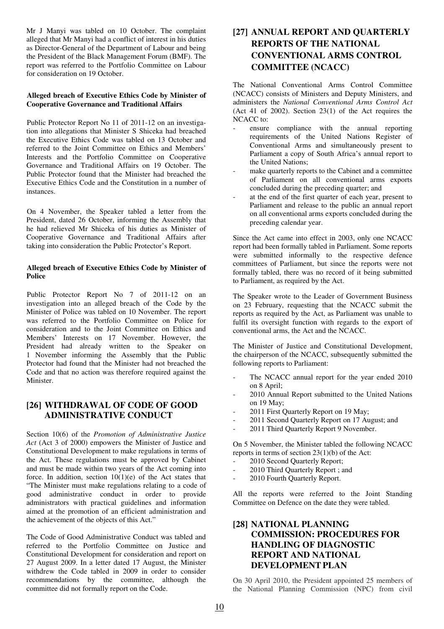Mr J Manyi was tabled on 10 October. The complaint alleged that Mr Manyi had a conflict of interest in his duties as Director-General of the Department of Labour and being the President of the Black Management Forum (BMF). The report was referred to the Portfolio Committee on Labour for consideration on 19 October.

#### **Alleged breach of Executive Ethics Code by Minister of Cooperative Governance and Traditional Affairs**

Public Protector Report No 11 of 2011-12 on an investigation into allegations that Minister S Shiceka had breached the Executive Ethics Code was tabled on 13 October and referred to the Joint Committee on Ethics and Members' Interests and the Portfolio Committee on Cooperative Governance and Traditional Affairs on 19 October. The Public Protector found that the Minister had breached the Executive Ethics Code and the Constitution in a number of instances.

On 4 November, the Speaker tabled a letter from the President, dated 26 October, informing the Assembly that he had relieved Mr Shiceka of his duties as Minister of Cooperative Governance and Traditional Affairs after taking into consideration the Public Protector's Report.

#### **Alleged breach of Executive Ethics Code by Minister of Police**

Public Protector Report No 7 of 2011-12 on an investigation into an alleged breach of the Code by the Minister of Police was tabled on 10 November. The report was referred to the Portfolio Committee on Police for consideration and to the Joint Committee on Ethics and Members' Interests on 17 November. However, the President had already written to the Speaker on 1 November informing the Assembly that the Public Protector had found that the Minister had not breached the Code and that no action was therefore required against the Minister.

#### **[26] WITHDRAWAL OF CODE OF GOOD ADMINISTRATIVE CONDUCT**

Section 10(6) of the *Promotion of Administrative Justice Act* (Act 3 of 2000) empowers the Minister of Justice and Constitutional Development to make regulations in terms of the Act. These regulations must be approved by Cabinet and must be made within two years of the Act coming into force. In addition, section  $10(1)(e)$  of the Act states that "The Minister must make regulations relating to a code of good administrative conduct in order to provide administrators with practical guidelines and information aimed at the promotion of an efficient administration and the achievement of the objects of this Act."

The Code of Good Administrative Conduct was tabled and referred to the Portfolio Committee on Justice and Constitutional Development for consideration and report on 27 August 2009. In a letter dated 17 August, the Minister withdrew the Code tabled in 2009 in order to consider recommendations by the committee, although the committee did not formally report on the Code.

# **[27] ANNUAL REPORT AND QUARTERLY REPORTS OF THE NATIONAL CONVENTIONAL ARMS CONTROL COMMITTEE (NCACC)**

The National Conventional Arms Control Committee (NCACC) consists of Ministers and Deputy Ministers, and administers the *National Conventional Arms Control Act* (Act 41 of 2002). Section  $23(1)$  of the Act requires the NCACC to:

- ensure compliance with the annual reporting requirements of the United Nations Register of Conventional Arms and simultaneously present to Parliament a copy of South Africa's annual report to the United Nations;
- make quarterly reports to the Cabinet and a committee of Parliament on all conventional arms exports concluded during the preceding quarter; and
- at the end of the first quarter of each year, present to Parliament and release to the public an annual report on all conventional arms exports concluded during the preceding calendar year.

Since the Act came into effect in 2003, only one NCACC report had been formally tabled in Parliament. Some reports were submitted informally to the respective defence committees of Parliament, but since the reports were not formally tabled, there was no record of it being submitted to Parliament, as required by the Act.

The Speaker wrote to the Leader of Government Business on 23 February, requesting that the NCACC submit the reports as required by the Act, as Parliament was unable to fulfil its oversight function with regards to the export of conventional arms, the Act and the NCACC.

The Minister of Justice and Constitutional Development, the chairperson of the NCACC, subsequently submitted the following reports to Parliament:

- The NCACC annual report for the year ended 2010 on 8 April;
- 2010 Annual Report submitted to the United Nations on 19 May;
- 2011 First Quarterly Report on 19 May;
- 2011 Second Quarterly Report on 17 August; and
- 2011 Third Quarterly Report 9 November.

On 5 November, the Minister tabled the following NCACC reports in terms of section  $23(1)(b)$  of the Act:

- 2010 Second Quarterly Report;
- 2010 Third Quarterly Report ; and
- 2010 Fourth Quarterly Report.

All the reports were referred to the Joint Standing Committee on Defence on the date they were tabled.

## **[28] NATIONAL PLANNING COMMISSION: PROCEDURES FOR HANDLING OF DIAGNOSTIC REPORT AND NATIONAL DEVELOPMENT PLAN**

On 30 April 2010, the President appointed 25 members of the National Planning Commission (NPC) from civil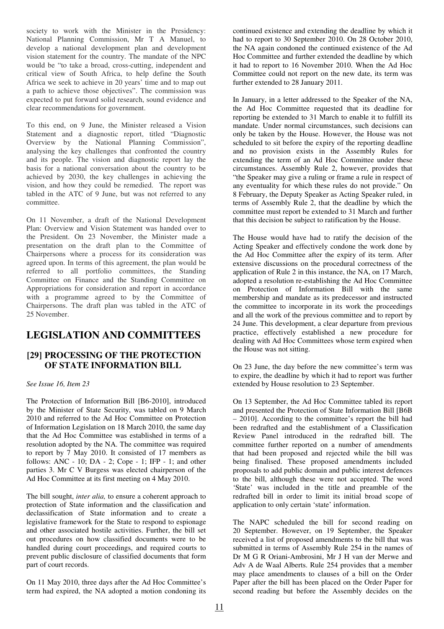society to work with the Minister in the Presidency: National Planning Commission, Mr T A Manuel, to develop a national development plan and development vision statement for the country. The mandate of the NPC would be "to take a broad, cross-cutting, independent and critical view of South Africa, to help define the South Africa we seek to achieve in 20 years' time and to map out a path to achieve those objectives". The commission was expected to put forward solid research, sound evidence and clear recommendations for government.

To this end, on 9 June, the Minister released a Vision Statement and a diagnostic report, titled "Diagnostic Overview by the National Planning Commission", analysing the key challenges that confronted the country and its people. The vision and diagnostic report lay the basis for a national conversation about the country to be achieved by 2030, the key challenges in achieving the vision, and how they could be remedied. The report was tabled in the ATC of 9 June, but was not referred to any committee.

On 11 November, a draft of the National Development Plan: Overview and Vision Statement was handed over to the President. On 23 November, the Minister made a presentation on the draft plan to the Committee of Chairpersons where a process for its consideration was agreed upon. In terms of this agreement, the plan would be referred to all portfolio committees, the Standing Committee on Finance and the Standing Committee on Appropriations for consideration and report in accordance with a programme agreed to by the Committee of Chairpersons. The draft plan was tabled in the ATC of 25 November.

# **LEGISLATION AND COMMITTEES**

#### **[29] PROCESSING OF THE PROTECTION OF STATE INFORMATION BILL**

*See Issue 16, Item 23* 

The Protection of Information Bill [B6-2010], introduced by the Minister of State Security, was tabled on 9 March 2010 and referred to the Ad Hoc Committee on Protection of Information Legislation on 18 March 2010, the same day that the Ad Hoc Committee was established in terms of a resolution adopted by the NA. The committee was required to report by 7 May 2010. It consisted of 17 members as follows: ANC - 10; DA - 2; Cope - 1; IFP - 1; and other parties 3. Mr C V Burgess was elected chairperson of the Ad Hoc Committee at its first meeting on 4 May 2010.

The bill sought, *inter alia,* to ensure a coherent approach to protection of State information and the classification and declassification of State information and to create a legislative framework for the State to respond to espionage and other associated hostile activities. Further, the bill set out procedures on how classified documents were to be handled during court proceedings, and required courts to prevent public disclosure of classified documents that form part of court records.

On 11 May 2010, three days after the Ad Hoc Committee's term had expired, the NA adopted a motion condoning its

continued existence and extending the deadline by which it had to report to 30 September 2010. On 28 October 2010, the NA again condoned the continued existence of the Ad Hoc Committee and further extended the deadline by which it had to report to 16 November 2010. When the Ad Hoc Committee could not report on the new date, its term was further extended to 28 January 2011.

In January, in a letter addressed to the Speaker of the NA, the Ad Hoc Committee requested that its deadline for reporting be extended to 31 March to enable it to fulfill its mandate. Under normal circumstances, such decisions can only be taken by the House. However, the House was not scheduled to sit before the expiry of the reporting deadline and no provision exists in the Assembly Rules for extending the term of an Ad Hoc Committee under these circumstances. Assembly Rule 2, however, provides that "the Speaker may give a ruling or frame a rule in respect of any eventuality for which these rules do not provide." On 8 February, the Deputy Speaker as Acting Speaker ruled, in terms of Assembly Rule 2, that the deadline by which the committee must report be extended to 31 March and further that this decision be subject to ratification by the House.

The House would have had to ratify the decision of the Acting Speaker and effectively condone the work done by the Ad Hoc Committee after the expiry of its term. After extensive discussions on the procedural correctness of the application of Rule 2 in this instance, the NA, on 17 March, adopted a resolution re-establishing the Ad Hoc Committee on Protection of Information Bill with the same membership and mandate as its predecessor and instructed the committee to incorporate in its work the proceedings and all the work of the previous committee and to report by 24 June. This development, a clear departure from previous practice, effectively established a new procedure for dealing with Ad Hoc Committees whose term expired when the House was not sitting.

On 23 June, the day before the new committee's term was to expire, the deadline by which it had to report was further extended by House resolution to 23 September.

On 13 September, the Ad Hoc Committee tabled its report and presented the Protection of State Information Bill [B6B – 2010]. According to the committee's report the bill had been redrafted and the establishment of a Classification Review Panel introduced in the redrafted bill. The committee further reported on a number of amendments that had been proposed and rejected while the bill was being finalised. These proposed amendments included proposals to add public domain and public interest defences to the bill, although these were not accepted. The word 'State' was included in the title and preamble of the redrafted bill in order to limit its initial broad scope of application to only certain 'state' information.

The NAPC scheduled the bill for second reading on 20 September. However, on 19 September, the Speaker received a list of proposed amendments to the bill that was submitted in terms of Assembly Rule 254 in the names of Dr M G R Oriani-Ambrosini, Mr J H van der Merwe and Adv A de Waal Alberts. Rule 254 provides that a member may place amendments to clauses of a bill on the Order Paper after the bill has been placed on the Order Paper for second reading but before the Assembly decides on the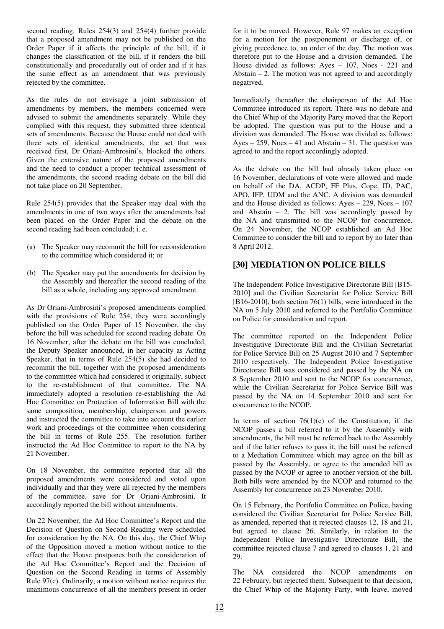second reading. Rules 254(3) and 254(4) further provide that a proposed amendment may not be published on the Order Paper if it affects the principle of the bill, if it changes the classification of the bill, if it renders the bill constitutionally and procedurally out of order and if it has the same effect as an amendment that was previously rejected by the committee.

As the rules do not envisage a joint submission of amendments by members, the members concerned were advised to submit the amendments separately. While they complied with this request, they submitted three identical sets of amendments. Because the House could not deal with three sets of identical amendments, the set that was received first, Dr Oriani-Ambrosini's, blocked the others. Given the extensive nature of the proposed amendments and the need to conduct a proper technical assessment of the amendments, the second reading debate on the bill did not take place on 20 September.

Rule 254(5) provides that the Speaker may deal with the amendments in one of two ways after the amendments had been placed on the Order Paper and the debate on the second reading had been concluded; i. e.

- (a) The Speaker may recommit the bill for reconsideration to the committee which considered it; or
- (b) The Speaker may put the amendments for decision by the Assembly and thereafter the second reading of the bill as a whole, including any approved amendment.

As Dr Oriani-Ambrosini's proposed amendments complied with the provisions of Rule 254, they were accordingly published on the Order Paper of 15 November, the day before the bill was scheduled for second reading debate. On 16 November, after the debate on the bill was concluded, the Deputy Speaker announced, in her capacity as Acting Speaker, that in terms of Rule 254(5) she had decided to recommit the bill, together with the proposed amendments to the committee which had considered it originally, subject to the re-establishment of that committee. The NA immediately adopted a resolution re-establishing the Ad Hoc Committee on Protection of Information Bill with the same composition, membership, chairperson and powers and instructed the committee to take into account the earlier work and proceedings of the committee when considering the bill in terms of Rule 255. The resolution further instructed the Ad Hoc Committee to report to the NA by 21 November.

On 18 November, the committee reported that all the proposed amendments were considered and voted upon individually and that they were all rejected by the members of the committee, save for Dr Oriani-Ambrosini. It accordingly reported the bill without amendments.

On 22 November, the Ad Hoc Committee's Report and the Decision of Question on Second Reading were scheduled for consideration by the NA. On this day, the Chief Whip of the Opposition moved a motion without notice to the effect that the House postpones both the consideration of the Ad Hoc Committee's Report and the Decision of Question on the Second Reading in terms of Assembly Rule 97(c). Ordinarily, a motion without notice requires the unanimous concurrence of all the members present in order

for it to be moved. However, Rule 97 makes an exception for a motion for the postponement or discharge of, or giving precedence to, an order of the day. The motion was therefore put to the House and a division demanded. The House divided as follows: Ayes – 107, Noes - 221 and Abstain  $-2$ . The motion was not agreed to and accordingly negatived.

Immediately thereafter the chairperson of the Ad Hoc Committee introduced its report. There was no debate and the Chief Whip of the Majority Party moved that the Report be adopted. The question was put to the House and a division was demanded. The House was divided as follows: Ayes – 259, Noes – 41 and Abstain – 31. The question was agreed to and the report accordingly adopted.

As the debate on the bill had already taken place on 16 November, declarations of vote were allowed and made on behalf of the DA, ACDP, FF Plus, Cope, ID, PAC, APO, IFP, UDM and the ANC. A division was demanded and the House divided as follows: Ayes – 229, Noes – 107 and Abstain  $-2$ . The bill was accordingly passed by the NA and transmitted to the NCOP for concurrence. On 24 November, the NCOP established an Ad Hoc Committee to consider the bill and to report by no later than 8 April 2012.

## **[30] MEDIATION ON POLICE BILLS**

The Independent Police Investigative Directorate Bill [B15- 2010] and the Civilian Secretariat for Police Service Bill [B16-2010], both section 76(1) bills, were introduced in the NA on 5 July 2010 and referred to the Portfolio Committee on Police for consideration and report.

The committee reported on the Independent Police Investigative Directorate Bill and the Civilian Secretariat for Police Service Bill on 25 August 2010 and 7 September 2010 respectively. The Independent Police Investigative Directorate Bill was considered and passed by the NA on 8 September 2010 and sent to the NCOP for concurrence, while the Civilian Secretariat for Police Service Bill was passed by the NA on 14 September 2010 and sent for concurrence to the NCOP.

In terms of section  $76(1)(c)$  of the Constitution, if the NCOP passes a bill referred to it by the Assembly with amendments, the bill must be referred back to the Assembly and if the latter refuses to pass it, the bill must be referred to a Mediation Committee which may agree on the bill as passed by the Assembly, or agree to the amended bill as passed by the NCOP or agree to another version of the bill. Both bills were amended by the NCOP and returned to the Assembly for concurrence on 23 November 2010.

On 15 February, the Portfolio Committee on Police, having considered the Civilian Secretariat for Police Service Bill, as amended, reported that it rejected clauses 12, 18 and 21, but agreed to clause 26. Similarly, in relation to the Independent Police Investigative Directorate Bill, the committee rejected clause 7 and agreed to clauses 1, 21 and 29.

The NA considered the NCOP amendments on 22 February, but rejected them. Subsequent to that decision, the Chief Whip of the Majority Party, with leave, moved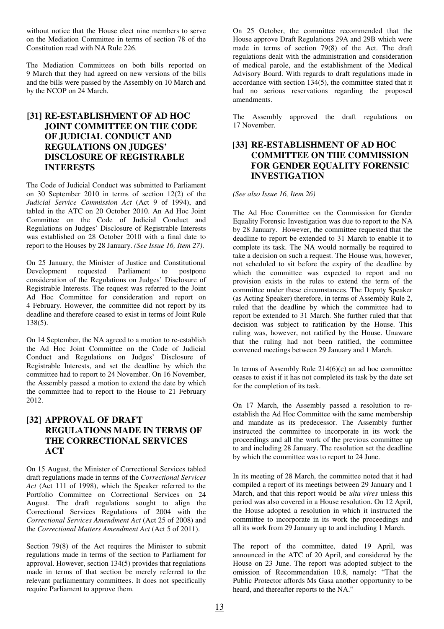without notice that the House elect nine members to serve on the Mediation Committee in terms of section 78 of the Constitution read with NA Rule 226.

The Mediation Committees on both bills reported on 9 March that they had agreed on new versions of the bills and the bills were passed by the Assembly on 10 March and by the NCOP on 24 March.

#### **[31] RE-ESTABLISHMENT OF AD HOC JOINT COMMITTEE ON THE CODE OF JUDICIAL CONDUCT AND REGULATIONS ON JUDGES' DISCLOSURE OF REGISTRABLE INTERESTS**

The Code of Judicial Conduct was submitted to Parliament on 30 September 2010 in terms of section 12(2) of the *Judicial Service Commission Act* (Act 9 of 1994), and tabled in the ATC on 20 October 2010. An Ad Hoc Joint Committee on the Code of Judicial Conduct and Regulations on Judges' Disclosure of Registrable Interests was established on 28 October 2010 with a final date to report to the Houses by 28 January. *(See Issue 16, Item 27)*.

On 25 January, the Minister of Justice and Constitutional Development requested Parliament to postpone consideration of the Regulations on Judges' Disclosure of Registrable Interests. The request was referred to the Joint Ad Hoc Committee for consideration and report on 4 February. However, the committee did not report by its deadline and therefore ceased to exist in terms of Joint Rule 138(5).

On 14 September, the NA agreed to a motion to re-establish the Ad Hoc Joint Committee on the Code of Judicial Conduct and Regulations on Judges' Disclosure of Registrable Interests, and set the deadline by which the committee had to report to 24 November. On 16 November, the Assembly passed a motion to extend the date by which the committee had to report to the House to 21 February 2012.

## **[32] APPROVAL OF DRAFT REGULATIONS MADE IN TERMS OF THE CORRECTIONAL SERVICES ACT**

On 15 August, the Minister of Correctional Services tabled draft regulations made in terms of the *Correctional Services Act* (Act 111 of 1998), which the Speaker referred to the Portfolio Committee on Correctional Services on 24 August. The draft regulations sought to align the Correctional Services Regulations of 2004 with the *Correctional Services Amendment Act* (Act 25 of 2008) and the *Correctional Matters Amendment Act* (Act 5 of 2011).

Section 79(8) of the Act requires the Minister to submit regulations made in terms of the section to Parliament for approval. However, section 134(5) provides that regulations made in terms of that section be merely referred to the relevant parliamentary committees. It does not specifically require Parliament to approve them.

On 25 October, the committee recommended that the House approve Draft Regulations 29A and 29B which were made in terms of section 79(8) of the Act. The draft regulations dealt with the administration and consideration of medical parole, and the establishment of the Medical Advisory Board. With regards to draft regulations made in accordance with section 134(5), the committee stated that it had no serious reservations regarding the proposed amendments.

The Assembly approved the draft regulations on 17 November.

## [**33] RE-ESTABLISHMENT OF AD HOC COMMITTEE ON THE COMMISSION FOR GENDER EQUALITY FORENSIC INVESTIGATION**

*(See also Issue 16, Item 26)*

The Ad Hoc Committee on the Commission for Gender Equality Forensic Investigation was due to report to the NA by 28 January. However, the committee requested that the deadline to report be extended to 31 March to enable it to complete its task. The NA would normally be required to take a decision on such a request. The House was, however, not scheduled to sit before the expiry of the deadline by which the committee was expected to report and no provision exists in the rules to extend the term of the committee under these circumstances. The Deputy Speaker (as Acting Speaker) therefore, in terms of Assembly Rule 2, ruled that the deadline by which the committee had to report be extended to 31 March. She further ruled that that decision was subject to ratification by the House. This ruling was, however, not ratified by the House. Unaware that the ruling had not been ratified, the committee convened meetings between 29 January and 1 March.

In terms of Assembly Rule  $214(6)(c)$  an ad hoc committee ceases to exist if it has not completed its task by the date set for the completion of its task.

On 17 March, the Assembly passed a resolution to reestablish the Ad Hoc Committee with the same membership and mandate as its predecessor. The Assembly further instructed the committee to incorporate in its work the proceedings and all the work of the previous committee up to and including 28 January. The resolution set the deadline by which the committee was to report to 24 June.

In its meeting of 28 March, the committee noted that it had compiled a report of its meetings between 29 January and 1 March, and that this report would be *ulta vires* unless this period was also covered in a House resolution. On 12 April, the House adopted a resolution in which it instructed the committee to incorporate in its work the proceedings and all its work from 29 January up to and including 1 March.

The report of the committee, dated 19 April, was announced in the ATC of 20 April, and considered by the House on 23 June. The report was adopted subject to the omission of Recommendation 10.8, namely: "That the Public Protector affords Ms Gasa another opportunity to be heard, and thereafter reports to the NA."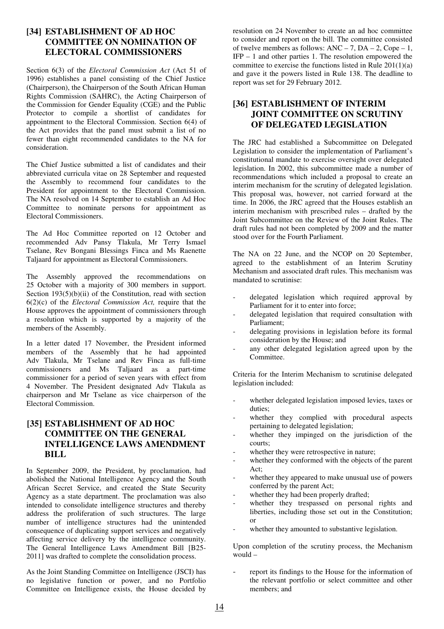#### **[34] ESTABLISHMENT OF AD HOC COMMITTEE ON NOMINATION OF ELECTORAL COMMISSIONERS**

Section 6(3) of the *Electoral Commission Act* (Act 51 of 1996) establishes a panel consisting of the Chief Justice (Chairperson), the Chairperson of the South African Human Rights Commission (SAHRC), the Acting Chairperson of the Commission for Gender Equality (CGE) and the Public Protector to compile a shortlist of candidates for appointment to the Electoral Commission. Section 6(4) of the Act provides that the panel must submit a list of no fewer than eight recommended candidates to the NA for consideration.

The Chief Justice submitted a list of candidates and their abbreviated curricula vitae on 28 September and requested the Assembly to recommend four candidates to the President for appointment to the Electoral Commission. The NA resolved on 14 September to establish an Ad Hoc Committee to nominate persons for appointment as Electoral Commissioners.

The Ad Hoc Committee reported on 12 October and recommended Adv Pansy Tlakula, Mr Terry Ismael Tselane, Rev Bongani Blessings Finca and Ms Raenette Taljaard for appointment as Electoral Commissioners.

The Assembly approved the recommendations on 25 October with a majority of 300 members in support. Section  $193(5)(b)(ii)$  of the Constitution, read with section 6(2)(c) of the *Electoral Commission Act,* require that the House approves the appointment of commissioners through a resolution which is supported by a majority of the members of the Assembly.

In a letter dated 17 November, the President informed members of the Assembly that he had appointed Adv Tlakula, Mr Tselane and Rev Finca as full-time commissioners and Ms Taljaard as a part-time commissioner for a period of seven years with effect from 4 November. The President designated Adv Tlakula as chairperson and Mr Tselane as vice chairperson of the Electoral Commission.

## **[35] ESTABLISHMENT OF AD HOC COMMITTEE ON THE GENERAL INTELLIGENCE LAWS AMENDMENT BILL**

In September 2009, the President, by proclamation, had abolished the National Intelligence Agency and the South African Secret Service, and created the State Security Agency as a state department. The proclamation was also intended to consolidate intelligence structures and thereby address the proliferation of such structures. The large number of intelligence structures had the unintended consequence of duplicating support services and negatively affecting service delivery by the intelligence community. The General Intelligence Laws Amendment Bill [B25- 2011] was drafted to complete the consolidation process.

As the Joint Standing Committee on Intelligence (JSCI) has no legislative function or power, and no Portfolio Committee on Intelligence exists, the House decided by

resolution on 24 November to create an ad hoc committee to consider and report on the bill. The committee consisted of twelve members as follows:  $ANC - 7$ ,  $DA - 2$ ,  $Cope - 1$ , IFP – 1 and other parties 1. The resolution empowered the committee to exercise the functions listed in Rule 201(1)(a) and gave it the powers listed in Rule 138. The deadline to report was set for 29 February 2012.

# **[36] ESTABLISHMENT OF INTERIM JOINT COMMITTEE ON SCRUTINY OF DELEGATED LEGISLATION**

The JRC had established a Subcommittee on Delegated Legislation to consider the implementation of Parliament's constitutional mandate to exercise oversight over delegated legislation. In 2002, this subcommittee made a number of recommendations which included a proposal to create an interim mechanism for the scrutiny of delegated legislation. This proposal was, however, not carried forward at the time. In 2006, the JRC agreed that the Houses establish an interim mechanism with prescribed rules – drafted by the Joint Subcommittee on the Review of the Joint Rules. The draft rules had not been completed by 2009 and the matter stood over for the Fourth Parliament.

The NA on 22 June, and the NCOP on 20 September, agreed to the establishment of an Interim Scrutiny Mechanism and associated draft rules. This mechanism was mandated to scrutinise:

- delegated legislation which required approval by Parliament for it to enter into force;
- delegated legislation that required consultation with Parliament;
- delegating provisions in legislation before its formal consideration by the House; and
- any other delegated legislation agreed upon by the Committee.

Criteria for the Interim Mechanism to scrutinise delegated legislation included:

- whether delegated legislation imposed levies, taxes or duties;
- whether they complied with procedural aspects pertaining to delegated legislation;
- whether they impinged on the jurisdiction of the courts;
- whether they were retrospective in nature;
- whether they conformed with the objects of the parent Act;
- whether they appeared to make unusual use of powers conferred by the parent Act;
- whether they had been properly drafted;
- whether they trespassed on personal rights and liberties, including those set out in the Constitution; or
- whether they amounted to substantive legislation.

Upon completion of the scrutiny process, the Mechanism would –

report its findings to the House for the information of the relevant portfolio or select committee and other members; and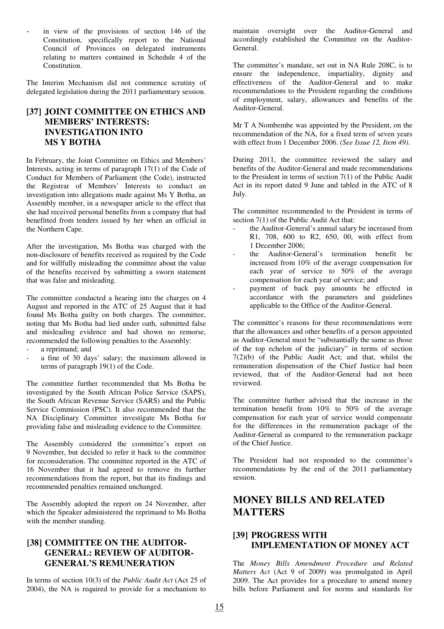in view of the provisions of section 146 of the Constitution, specifically report to the National Council of Provinces on delegated instruments relating to matters contained in Schedule 4 of the Constitution.

The Interim Mechanism did not commence scrutiny of delegated legislation during the 2011 parliamentary session.

# **[37] JOINT COMMITTEE ON ETHICS AND MEMBERS' INTERESTS: INVESTIGATION INTO MS Y BOTHA**

In February, the Joint Committee on Ethics and Members' Interests, acting in terms of paragraph 17(1) of the Code of Conduct for Members of Parliament (the Code), instructed the Registrar of Members' Interests to conduct an investigation into allegations made against Ms Y Botha, an Assembly member, in a newspaper article to the effect that she had received personal benefits from a company that had benefitted from tenders issued by her when an official in the Northern Cape.

After the investigation, Ms Botha was charged with the non-disclosure of benefits received as required by the Code and for willfully misleading the committee about the value of the benefits received by submitting a sworn statement that was false and misleading.

The committee conducted a hearing into the charges on 4 August and reported in the ATC of 25 August that it had found Ms Botha guilty on both charges. The committee, noting that Ms Botha had lied under oath, submitted false and misleading evidence and had shown no remorse, recommended the following penalties to the Assembly:

- a reprimand; and
- a fine of 30 days' salary; the maximum allowed in terms of paragraph 19(1) of the Code.

The committee further recommended that Ms Botha be investigated by the South African Police Service (SAPS), the South African Revenue Service (SARS) and the Public Service Commission (PSC). It also recommended that the NA Disciplinary Committee investigate Ms Botha for providing false and misleading evidence to the Committee.

The Assembly considered the committee's report on 9 November, but decided to refer it back to the committee for reconsideration. The committee reported in the ATC of 16 November that it had agreed to remove its further recommendations from the report, but that its findings and recommended penalties remained unchanged.

The Assembly adopted the report on 24 November, after which the Speaker administered the reprimand to Ms Botha with the member standing.

#### **[38] COMMITTEE ON THE AUDITOR-GENERAL: REVIEW OF AUDITOR-GENERAL'S REMUNERATION**

In terms of section 10(3) of the *Public Audit Act* (Act 25 of 2004), the NA is required to provide for a mechanism to maintain oversight over the Auditor-General and accordingly established the Committee on the Auditor-General.

The committee's mandate, set out in NA Rule 208C, is to ensure the independence, impartiality, dignity and effectiveness of the Auditor-General and to make recommendations to the President regarding the conditions of employment, salary, allowances and benefits of the Auditor-General.

Mr T A Nombembe was appointed by the President, on the recommendation of the NA, for a fixed term of seven years with effect from 1 December 2006. *(See Issue 12, Item 49)*.

During 2011, the committee reviewed the salary and benefits of the Auditor-General and made recommendations to the President in terms of section 7(1) of the Public Audit Act in its report dated 9 June and tabled in the ATC of 8 July.

The committee recommended to the President in terms of section 7(1) of the Public Audit Act that:

- the Auditor-General's annual salary be increased from R1, 708, 600 to R2, 650, 00, with effect from 1 December 2006;
- the Auditor-General's termination benefit be increased from 10% of the average compensation for each year of service to 50% of the average compensation for each year of service; and
- payment of back pay amounts be effected in accordance with the parameters and guidelines applicable to the Office of the Auditor-General.

The committee's reasons for these recommendations were that the allowances and other benefits of a person appointed as Auditor-General must be "substantially the same as those of the top echelon of the judiciary" in terms of section 7(2)(b) of the Public Audit Act; and that, whilst the remuneration dispensation of the Chief Justice had been reviewed, that of the Auditor-General had not been reviewed.

The committee further advised that the increase in the termination benefit from 10% to 50% of the average compensation for each year of service would compensate for the differences in the remuneration package of the Auditor-General as compared to the remuneration package of the Chief Justice.

The President had not responded to the committee's recommendations by the end of the 2011 parliamentary session.

# **MONEY BILLS AND RELATED MATTERS**

#### **[39] PROGRESS WITH IMPLEMENTATION OF MONEY ACT**

The *Money Bills Amendment Procedure and Related Matters Act* (Act 9 of 2009) was promulgated in April 2009. The Act provides for a procedure to amend money bills before Parliament and for norms and standards for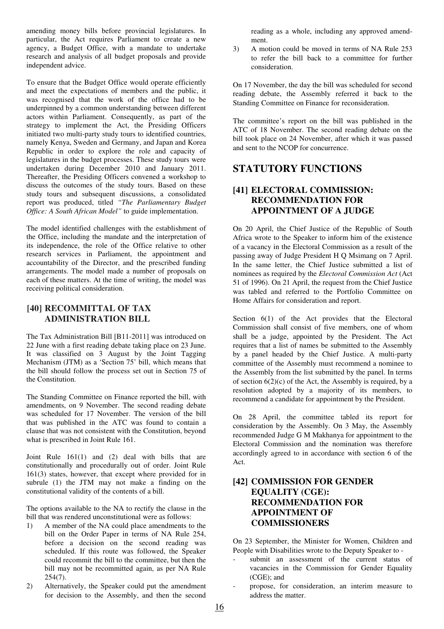amending money bills before provincial legislatures. In particular, the Act requires Parliament to create a new agency, a Budget Office, with a mandate to undertake research and analysis of all budget proposals and provide independent advice.

To ensure that the Budget Office would operate efficiently and meet the expectations of members and the public, it was recognised that the work of the office had to be underpinned by a common understanding between different actors within Parliament. Consequently, as part of the strategy to implement the Act, the Presiding Officers initiated two multi-party study tours to identified countries, namely Kenya, Sweden and Germany, and Japan and Korea Republic in order to explore the role and capacity of legislatures in the budget processes. These study tours were undertaken during December 2010 and January 2011. Thereafter, the Presiding Officers convened a workshop to discuss the outcomes of the study tours. Based on these study tours and subsequent discussions, a consolidated report was produced, titled *"The Parliamentary Budget Office: A South African Model"* to guide implementation.

The model identified challenges with the establishment of the Office, including the mandate and the interpretation of its independence, the role of the Office relative to other research services in Parliament, the appointment and accountability of the Director, and the prescribed funding arrangements. The model made a number of proposals on each of these matters. At the time of writing, the model was receiving political consideration.

#### **[40] RECOMMITTAL OF TAX ADMINISTRATION BILL**

The Tax Administration Bill [B11-2011] was introduced on 22 June with a first reading debate taking place on 23 June. It was classified on 3 August by the Joint Tagging Mechanism (JTM) as a 'Section 75' bill, which means that the bill should follow the process set out in Section 75 of the Constitution.

The Standing Committee on Finance reported the bill, with amendments, on 9 November. The second reading debate was scheduled for 17 November. The version of the bill that was published in the ATC was found to contain a clause that was not consistent with the Constitution, beyond what is prescribed in Joint Rule 161.

Joint Rule 161(1) and (2) deal with bills that are constitutionally and procedurally out of order. Joint Rule 161(3) states, however, that except where provided for in subrule (1) the JTM may not make a finding on the constitutional validity of the contents of a bill.

The options available to the NA to rectify the clause in the bill that was rendered unconstitutional were as follows:

- 1) A member of the NA could place amendments to the bill on the Order Paper in terms of NA Rule 254, before a decision on the second reading was scheduled. If this route was followed, the Speaker could recommit the bill to the committee, but then the bill may not be recommitted again, as per NA Rule 254(7).
- 2) Alternatively, the Speaker could put the amendment for decision to the Assembly, and then the second

reading as a whole, including any approved amendment.

3) A motion could be moved in terms of NA Rule 253 to refer the bill back to a committee for further consideration.

On 17 November, the day the bill was scheduled for second reading debate, the Assembly referred it back to the Standing Committee on Finance for reconsideration.

The committee's report on the bill was published in the ATC of 18 November. The second reading debate on the bill took place on 24 November, after which it was passed and sent to the NCOP for concurrence.

# **STATUTORY FUNCTIONS**

## **[41] ELECTORAL COMMISSION: RECOMMENDATION FOR APPOINTMENT OF A JUDGE**

On 20 April, the Chief Justice of the Republic of South Africa wrote to the Speaker to inform him of the existence of a vacancy in the Electoral Commission as a result of the passing away of Judge President H Q Msimang on 7 April. In the same letter, the Chief Justice submitted a list of nominees as required by the *Electoral Commission Act* (Act 51 of 1996). On 21 April, the request from the Chief Justice was tabled and referred to the Portfolio Committee on Home Affairs for consideration and report.

Section  $6(1)$  of the Act provides that the Electoral Commission shall consist of five members, one of whom shall be a judge, appointed by the President. The Act requires that a list of names be submitted to the Assembly by a panel headed by the Chief Justice. A multi-party committee of the Assembly must recommend a nominee to the Assembly from the list submitted by the panel. In terms of section  $6(2)(c)$  of the Act, the Assembly is required, by a resolution adopted by a majority of its members, to recommend a candidate for appointment by the President.

On 28 April, the committee tabled its report for consideration by the Assembly. On 3 May, the Assembly recommended Judge G M Makhanya for appointment to the Electoral Commission and the nomination was therefore accordingly agreed to in accordance with section 6 of the Act.

## **[42] COMMISSION FOR GENDER EQUALITY (CGE): RECOMMENDATION FOR APPOINTMENT OF COMMISSIONERS**

On 23 September, the Minister for Women, Children and People with Disabilities wrote to the Deputy Speaker to -

- submit an assessment of the current status of vacancies in the Commission for Gender Equality (CGE); and
- propose, for consideration, an interim measure to address the matter.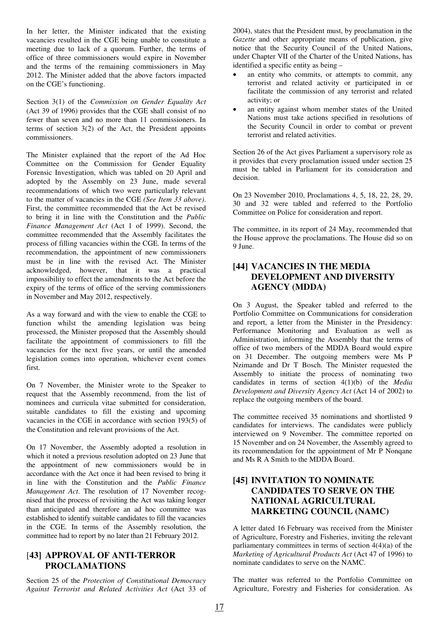In her letter, the Minister indicated that the existing vacancies resulted in the CGE being unable to constitute a meeting due to lack of a quorum. Further, the terms of office of three commissioners would expire in November and the terms of the remaining commissioners in May 2012. The Minister added that the above factors impacted on the CGE's functioning.

Section 3(1) of the *Commission on Gender Equality Act* (Act 39 of 1996) provides that the CGE shall consist of no fewer than seven and no more than 11 commissioners. In terms of section 3(2) of the Act, the President appoints commissioners.

The Minister explained that the report of the Ad Hoc Committee on the Commission for Gender Equality Forensic Investigation, which was tabled on 20 April and adopted by the Assembly on 23 June, made several recommendations of which two were particularly relevant to the matter of vacancies in the CGE *(See Item 33 above)*. First, the committee recommended that the Act be revised to bring it in line with the Constitution and the *Public Finance Management Act* (Act 1 of 1999). Second, the committee recommended that the Assembly facilitates the process of filling vacancies within the CGE. In terms of the recommendation, the appointment of new commissioners must be in line with the revised Act. The Minister acknowledged, however, that it was a practical impossibility to effect the amendments to the Act before the expiry of the terms of office of the serving commissioners in November and May 2012, respectively.

As a way forward and with the view to enable the CGE to function whilst the amending legislation was being processed, the Minister proposed that the Assembly should facilitate the appointment of commissioners to fill the vacancies for the next five years, or until the amended legislation comes into operation, whichever event comes first.

On 7 November, the Minister wrote to the Speaker to request that the Assembly recommend, from the list of nominees and curricula vitae submitted for consideration, suitable candidates to fill the existing and upcoming vacancies in the CGE in accordance with section 193(5) of the Constitution and relevant provisions of the Act.

On 17 November, the Assembly adopted a resolution in which it noted a previous resolution adopted on 23 June that the appointment of new commissioners would be in accordance with the Act once it had been revised to bring it in line with the Constitution and the *Public Finance Management Act*. The resolution of 17 November recognised that the process of revisiting the Act was taking longer than anticipated and therefore an ad hoc committee was established to identify suitable candidates to fill the vacancies in the CGE. In terms of the Assembly resolution, the committee had to report by no later than 21 February 2012.

#### [**43] APPROVAL OF ANTI-TERROR PROCLAMATIONS**

Section 25 of the *Protection of Constitutional Democracy Against Terrorist and Related Activities Act* (Act 33 of 2004), states that the President must, by proclamation in the *Gazette* and other appropriate means of publication, give notice that the Security Council of the United Nations, under Chapter VII of the Charter of the United Nations, has identified a specific entity as being –

- an entity who commits, or attempts to commit, any terrorist and related activity or participated in or facilitate the commission of any terrorist and related activity; or
- an entity against whom member states of the United Nations must take actions specified in resolutions of the Security Council in order to combat or prevent terrorist and related activities.

Section 26 of the Act gives Parliament a supervisory role as it provides that every proclamation issued under section 25 must be tabled in Parliament for its consideration and decision.

On 23 November 2010, Proclamations 4, 5, 18, 22, 28, 29, 30 and 32 were tabled and referred to the Portfolio Committee on Police for consideration and report.

The committee, in its report of 24 May, recommended that the House approve the proclamations. The House did so on 9 June.

#### **[44] VACANCIES IN THE MEDIA DEVELOPMENT AND DIVERSITY AGENCY (MDDA)**

On 3 August, the Speaker tabled and referred to the Portfolio Committee on Communications for consideration and report, a letter from the Minister in the Presidency: Performance Monitoring and Evaluation as well as Administration, informing the Assembly that the terms of office of two members of the MDDA Board would expire on 31 December. The outgoing members were Ms P Nzimande and Dr T Bosch. The Minister requested the Assembly to initiate the process of nominating two candidates in terms of section 4(1)(b) of the *Media Development and Diversity Agency Act* (Act 14 of 2002) to replace the outgoing members of the board.

The committee received 35 nominations and shortlisted 9 candidates for interviews. The candidates were publicly interviewed on 9 November. The committee reported on 15 November and on 24 November, the Assembly agreed to its recommendation for the appointment of Mr P Nonqane and Ms R A Smith to the MDDA Board.

## **[45] INVITATION TO NOMINATE CANDIDATES TO SERVE ON THE NATIONAL AGRICULTURAL MARKETING COUNCIL (NAMC)**

A letter dated 16 February was received from the Minister of Agriculture, Forestry and Fisheries, inviting the relevant parliamentary committees in terms of section  $4(4)(a)$  of the *Marketing of Agricultural Products Act* (Act 47 of 1996) to nominate candidates to serve on the NAMC.

The matter was referred to the Portfolio Committee on Agriculture, Forestry and Fisheries for consideration. As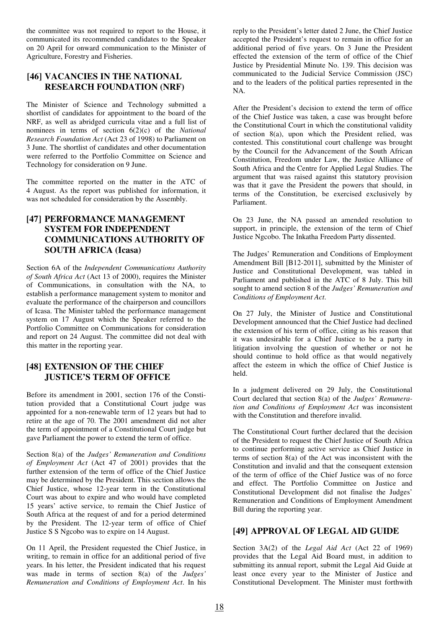the committee was not required to report to the House, it communicated its recommended candidates to the Speaker on 20 April for onward communication to the Minister of Agriculture, Forestry and Fisheries.

#### **[46] VACANCIES IN THE NATIONAL RESEARCH FOUNDATION (NRF)**

The Minister of Science and Technology submitted a shortlist of candidates for appointment to the board of the NRF, as well as abridged curricula vitae and a full list of nominees in terms of section 6(2)(c) of the *National Research Foundation Act* (Act 23 of 1998) to Parliament on 3 June. The shortlist of candidates and other documentation were referred to the Portfolio Committee on Science and Technology for consideration on 9 June.

The committee reported on the matter in the ATC of 4 August. As the report was published for information, it was not scheduled for consideration by the Assembly.

## **[47] PERFORMANCE MANAGEMENT SYSTEM FOR INDEPENDENT COMMUNICATIONS AUTHORITY OF SOUTH AFRICA (Icasa)**

Section 6A of the *Independent Communications Authority of South Africa Act* (Act 13 of 2000), requires the Minister of Communications, in consultation with the NA, to establish a performance management system to monitor and evaluate the performance of the chairperson and councillors of Icasa. The Minister tabled the performance management system on 17 August which the Speaker referred to the Portfolio Committee on Communications for consideration and report on 24 August. The committee did not deal with this matter in the reporting year.

## **[48] EXTENSION OF THE CHIEF JUSTICE'S TERM OF OFFICE**

Before its amendment in 2001, section 176 of the Constitution provided that a Constitutional Court judge was appointed for a non-renewable term of 12 years but had to retire at the age of 70. The 2001 amendment did not alter the term of appointment of a Constitutional Court judge but gave Parliament the power to extend the term of office.

Section 8(a) of the *Judges' Remuneration and Conditions of Employment Act* (Act 47 of 2001) provides that the further extension of the term of office of the Chief Justice may be determined by the President. This section allows the Chief Justice, whose 12-year term in the Constitutional Court was about to expire and who would have completed 15 years' active service, to remain the Chief Justice of South Africa at the request of and for a period determined by the President. The 12-year term of office of Chief Justice S S Ngcobo was to expire on 14 August.

On 11 April, the President requested the Chief Justice, in writing, to remain in office for an additional period of five years. In his letter, the President indicated that his request was made in terms of section 8(a) of the *Judges' Remuneration and Conditions of Employment Act*. In his reply to the President's letter dated 2 June, the Chief Justice accepted the President's request to remain in office for an additional period of five years. On 3 June the President effected the extension of the term of office of the Chief Justice by Presidential Minute No. 139. This decision was communicated to the Judicial Service Commission (JSC) and to the leaders of the political parties represented in the NA.

After the President's decision to extend the term of office of the Chief Justice was taken, a case was brought before the Constitutional Court in which the constitutional validity of section 8(a), upon which the President relied, was contested. This constitutional court challenge was brought by the Council for the Advancement of the South African Constitution, Freedom under Law, the Justice Alliance of South Africa and the Centre for Applied Legal Studies. The argument that was raised against this statutory provision was that it gave the President the powers that should, in terms of the Constitution, be exercised exclusively by Parliament.

On 23 June, the NA passed an amended resolution to support, in principle, the extension of the term of Chief Justice Ngcobo. The Inkatha Freedom Party dissented.

The Judges' Remuneration and Conditions of Employment Amendment Bill [B12-2011], submitted by the Minister of Justice and Constitutional Development, was tabled in Parliament and published in the ATC of 8 July. This bill sought to amend section 8 of the *Judges' Remuneration and Conditions of Employment Act*.

On 27 July, the Minister of Justice and Constitutional Development announced that the Chief Justice had declined the extension of his term of office, citing as his reason that it was undesirable for a Chief Justice to be a party in litigation involving the question of whether or not he should continue to hold office as that would negatively affect the esteem in which the office of Chief Justice is held.

In a judgment delivered on 29 July, the Constitutional Court declared that section 8(a) of the *Judges' Remuneration and Conditions of Employment Act* was inconsistent with the Constitution and therefore invalid.

The Constitutional Court further declared that the decision of the President to request the Chief Justice of South Africa to continue performing active service as Chief Justice in terms of section 8(a) of the Act was inconsistent with the Constitution and invalid and that the consequent extension of the term of office of the Chief Justice was of no force and effect. The Portfolio Committee on Justice and Constitutional Development did not finalise the Judges' Remuneration and Conditions of Employment Amendment Bill during the reporting year.

# **[49] APPROVAL OF LEGAL AID GUIDE**

Section 3A(2) of the *Legal Aid Act* (Act 22 of 1969) provides that the Legal Aid Board must, in addition to submitting its annual report, submit the Legal Aid Guide at least once every year to the Minister of Justice and Constitutional Development. The Minister must forthwith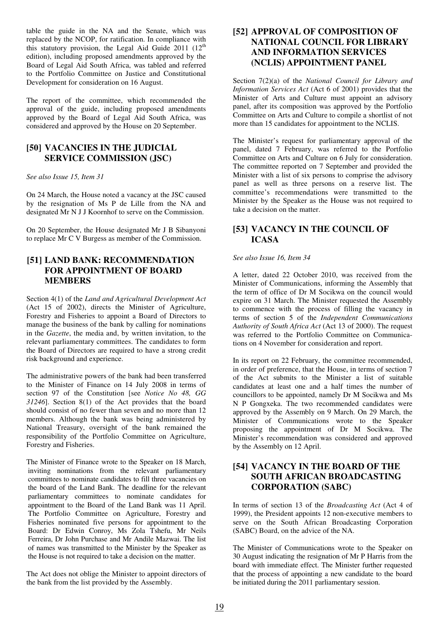table the guide in the NA and the Senate, which was replaced by the NCOP, for ratification. In compliance with this statutory provision, the Legal Aid Guide  $2011$  ( $12<sup>th</sup>$ ) edition), including proposed amendments approved by the Board of Legal Aid South Africa, was tabled and referred to the Portfolio Committee on Justice and Constitutional Development for consideration on 16 August.

The report of the committee, which recommended the approval of the guide, including proposed amendments approved by the Board of Legal Aid South Africa, was considered and approved by the House on 20 September.

#### **[50] VACANCIES IN THE JUDICIAL SERVICE COMMISSION (JSC)**

*See also Issue 15, Item 31* 

On 24 March, the House noted a vacancy at the JSC caused by the resignation of Ms P de Lille from the NA and designated Mr N J J Koornhof to serve on the Commission.

On 20 September, the House designated Mr J B Sibanyoni to replace Mr C V Burgess as member of the Commission.

#### **[51] LAND BANK: RECOMMENDATION FOR APPOINTMENT OF BOARD MEMBERS**

Section 4(1) of the *Land and Agricultural Development Act* (Act 15 of 2002), directs the Minister of Agriculture, Forestry and Fisheries to appoint a Board of Directors to manage the business of the bank by calling for nominations in the *Gazette*, the media and, by written invitation, to the relevant parliamentary committees. The candidates to form the Board of Directors are required to have a strong credit risk background and experience.

The administrative powers of the bank had been transferred to the Minister of Finance on 14 July 2008 in terms of section 97 of the Constitution [see *Notice No 48, GG 31246*]. Section 8(1) of the Act provides that the board should consist of no fewer than seven and no more than 12 members. Although the bank was being administered by National Treasury, oversight of the bank remained the responsibility of the Portfolio Committee on Agriculture, Forestry and Fisheries.

The Minister of Finance wrote to the Speaker on 18 March, inviting nominations from the relevant parliamentary committees to nominate candidates to fill three vacancies on the board of the Land Bank. The deadline for the relevant parliamentary committees to nominate candidates for appointment to the Board of the Land Bank was 11 April. The Portfolio Committee on Agriculture, Forestry and Fisheries nominated five persons for appointment to the Board: Dr Edwin Conroy, Ms Zola Tshefu, Mr Neils Ferreira, Dr John Purchase and Mr Andile Mazwai. The list of names was transmitted to the Minister by the Speaker as the House is not required to take a decision on the matter.

The Act does not oblige the Minister to appoint directors of the bank from the list provided by the Assembly.

#### **[52] APPROVAL OF COMPOSITION OF NATIONAL COUNCIL FOR LIBRARY AND INFORMATION SERVICES (NCLIS) APPOINTMENT PANEL**

Section 7(2)(a) of the *National Council for Library and Information Services Act* (Act 6 of 2001) provides that the Minister of Arts and Culture must appoint an advisory panel, after its composition was approved by the Portfolio Committee on Arts and Culture to compile a shortlist of not more than 15 candidates for appointment to the NCLIS.

The Minister's request for parliamentary approval of the panel, dated 7 February, was referred to the Portfolio Committee on Arts and Culture on 6 July for consideration. The committee reported on 7 September and provided the Minister with a list of six persons to comprise the advisory panel as well as three persons on a reserve list. The committee's recommendations were transmitted to the Minister by the Speaker as the House was not required to take a decision on the matter.

## **[53] VACANCY IN THE COUNCIL OF ICASA**

#### *See also Issue 16, Item 34*

A letter, dated 22 October 2010, was received from the Minister of Communications, informing the Assembly that the term of office of Dr M Socikwa on the council would expire on 31 March. The Minister requested the Assembly to commence with the process of filling the vacancy in terms of section 5 of the *Independent Communications Authority of South Africa Act* (Act 13 of 2000). The request was referred to the Portfolio Committee on Communications on 4 November for consideration and report.

In its report on 22 February, the committee recommended, in order of preference, that the House, in terms of section 7 of the Act submits to the Minister a list of suitable candidates at least one and a half times the number of councillors to be appointed, namely Dr M Socikwa and Ms N P Gongxeka. The two recommended candidates were approved by the Assembly on 9 March. On 29 March, the Minister of Communications wrote to the Speaker proposing the appointment of Dr M Socikwa. The Minister's recommendation was considered and approved by the Assembly on 12 April.

## **[54] VACANCY IN THE BOARD OF THE SOUTH AFRICAN BROADCASTING CORPORATION (SABC)**

In terms of section 13 of the *Broadcasting Act* (Act 4 of 1999), the President appoints 12 non-executive members to serve on the South African Broadcasting Corporation (SABC) Board, on the advice of the NA.

The Minister of Communications wrote to the Speaker on 30 August indicating the resignation of Mr P Harris from the board with immediate effect. The Minister further requested that the process of appointing a new candidate to the board be initiated during the 2011 parliamentary session.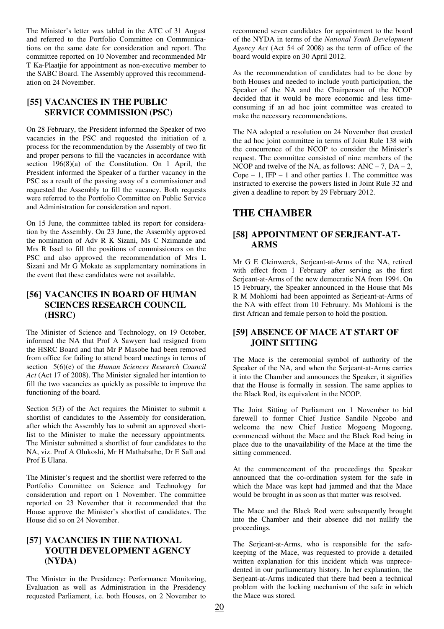The Minister's letter was tabled in the ATC of 31 August and referred to the Portfolio Committee on Communications on the same date for consideration and report. The committee reported on 10 November and recommended Mr T Ka-Plaatjie for appointment as non-executive member to the SABC Board. The Assembly approved this recommendation on 24 November.

#### **[55] VACANCIES IN THE PUBLIC SERVICE COMMISSION (PSC)**

On 28 February, the President informed the Speaker of two vacancies in the PSC and requested the initiation of a process for the recommendation by the Assembly of two fit and proper persons to fill the vacancies in accordance with section 196(8)(a) of the Constitution. On 1 April, the President informed the Speaker of a further vacancy in the PSC as a result of the passing away of a commissioner and requested the Assembly to fill the vacancy. Both requests were referred to the Portfolio Committee on Public Service and Administration for consideration and report.

On 15 June, the committee tabled its report for consideration by the Assembly. On 23 June, the Assembly approved the nomination of Adv R K Sizani, Ms C Nzimande and Mrs R Issel to fill the positions of commissioners on the PSC and also approved the recommendation of Mrs L Sizani and Mr G Mokate as supplementary nominations in the event that these candidates were not available.

#### **[56] VACANCIES IN BOARD OF HUMAN SCIENCES RESEARCH COUNCIL (HSRC)**

The Minister of Science and Technology, on 19 October, informed the NA that Prof A Sawyerr had resigned from the HSRC Board and that Mr P Masobe had been removed from office for failing to attend board meetings in terms of section 5(6)(e) of the *Human Sciences Research Council Act* (Act 17 of 2008). The Minister signaled her intention to fill the two vacancies as quickly as possible to improve the functioning of the board.

Section 5(3) of the Act requires the Minister to submit a shortlist of candidates to the Assembly for consideration, after which the Assembly has to submit an approved shortlist to the Minister to make the necessary appointments. The Minister submitted a shortlist of four candidates to the NA, viz. Prof A Olukoshi, Mr H Mathabathe, Dr E Sall and Prof E Ulana.

The Minister's request and the shortlist were referred to the Portfolio Committee on Science and Technology for consideration and report on 1 November. The committee reported on 23 November that it recommended that the House approve the Minister's shortlist of candidates. The House did so on 24 November.

#### **[57] VACANCIES IN THE NATIONAL YOUTH DEVELOPMENT AGENCY (NYDA)**

The Minister in the Presidency: Performance Monitoring, Evaluation as well as Administration in the Presidency requested Parliament, i.e. both Houses, on 2 November to recommend seven candidates for appointment to the board of the NYDA in terms of the *National Youth Development Agency Act* (Act 54 of 2008) as the term of office of the board would expire on 30 April 2012.

As the recommendation of candidates had to be done by both Houses and needed to include youth participation, the Speaker of the NA and the Chairperson of the NCOP decided that it would be more economic and less timeconsuming if an ad hoc joint committee was created to make the necessary recommendations.

The NA adopted a resolution on 24 November that created the ad hoc joint committee in terms of Joint Rule 138 with the concurrence of the NCOP to consider the Minister's request. The committee consisted of nine members of the NCOP and twelve of the NA, as follows:  $ANC - 7$ ,  $DA - 2$ , Cope  $-1$ , IFP  $-1$  and other parties 1. The committee was instructed to exercise the powers listed in Joint Rule 32 and given a deadline to report by 29 February 2012.

# **THE CHAMBER**

#### **[58] APPOINTMENT OF SERJEANT-AT-ARMS**

Mr G E Cleinwerck, Serjeant-at-Arms of the NA, retired with effect from 1 February after serving as the first Serjeant-at-Arms of the new democratic NA from 1994. On 15 February, the Speaker announced in the House that Ms R M Mohlomi had been appointed as Serjeant-at-Arms of the NA with effect from 10 February. Ms Mohlomi is the first African and female person to hold the position.

#### **[59] ABSENCE OF MACE AT START OF JOINT SITTING**

The Mace is the ceremonial symbol of authority of the Speaker of the NA, and when the Serjeant-at-Arms carries it into the Chamber and announces the Speaker, it signifies that the House is formally in session. The same applies to the Black Rod, its equivalent in the NCOP.

The Joint Sitting of Parliament on 1 November to bid farewell to former Chief Justice Sandile Ngcobo and welcome the new Chief Justice Mogoeng Mogoeng, commenced without the Mace and the Black Rod being in place due to the unavailability of the Mace at the time the sitting commenced.

At the commencement of the proceedings the Speaker announced that the co-ordination system for the safe in which the Mace was kept had jammed and that the Mace would be brought in as soon as that matter was resolved.

The Mace and the Black Rod were subsequently brought into the Chamber and their absence did not nullify the proceedings.

The Serjeant-at-Arms, who is responsible for the safekeeping of the Mace, was requested to provide a detailed written explanation for this incident which was unprecedented in our parliamentary history. In her explanation, the Serjeant-at-Arms indicated that there had been a technical problem with the locking mechanism of the safe in which the Mace was stored.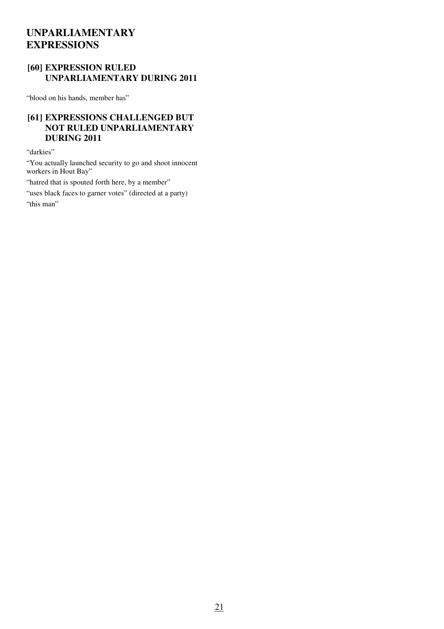# **UNPARLIAMENTARY EXPRESSIONS**

## **[60] EXPRESSION RULED UNPARLIAMENTARY DURING 2011**

"blood on his hands, member has"

# **[61] EXPRESSIONS CHALLENGED BUT NOT RULED UNPARLIAMENTARY DURING 2011**

"darkies"

"You actually launched security to go and shoot innocent workers in Hout Bay"

"hatred that is spouted forth here, by a member"

"uses black faces to garner votes" (directed at a party) "this man"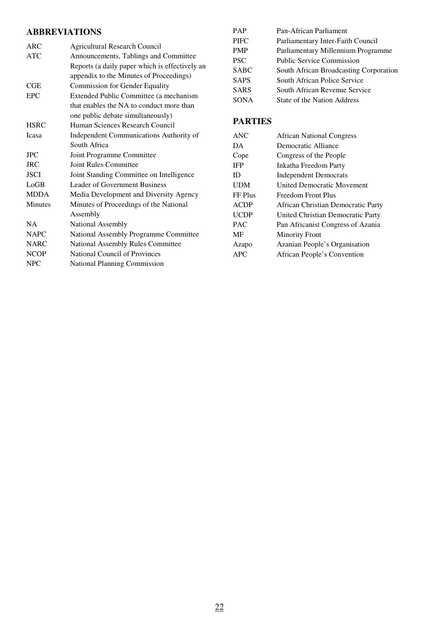# **ABBREVIATIONS**

| ARC            | <b>Agricultural Research Council</b>           |
|----------------|------------------------------------------------|
| <b>ATC</b>     | Announcements, Tablings and Committee          |
|                | Reports (a daily paper which is effectively an |
|                | appendix to the Minutes of Proceedings)        |
| CGE            | <b>Commission for Gender Equality</b>          |
| <b>EPC</b>     | Extended Public Committee (a mechanism         |
|                | that enables the NA to conduct more than       |
|                | one public debate simultaneously)              |
| <b>HSRC</b>    | Human Sciences Research Council                |
| <b>Icasa</b>   | Independent Communications Authority of        |
|                | South Africa                                   |
| $_{\rm{JPC}}$  | Joint Programme Committee                      |
| <b>JRC</b>     | <b>Joint Rules Committee</b>                   |
| <b>JSCI</b>    | Joint Standing Committee on Intelligence       |
| LoGB           | <b>Leader of Government Business</b>           |
| <b>MDDA</b>    | Media Development and Diversity Agency         |
| <b>Minutes</b> | Minutes of Proceedings of the National         |
|                | Assembly                                       |
| NA             | National Assembly                              |
| <b>NAPC</b>    | National Assembly Programme Committee          |
| <b>NARC</b>    | National Assembly Rules Committee              |
| <b>NCOP</b>    | National Council of Provinces                  |
| <b>NPC</b>     | <b>National Planning Commission</b>            |

| <b>PAP</b>  | Pan-African Parliament                 |
|-------------|----------------------------------------|
| <b>PIFC</b> | Parliamentary Inter-Faith Council      |
| PMP         | Parliamentary Millennium Programme     |
| <b>PSC</b>  | <b>Public Service Commission</b>       |
| <b>SABC</b> | South African Broadcasting Corporation |
| <b>SAPS</b> | South African Police Service           |
| <b>SARS</b> | South African Revenue Service          |
| <b>SONA</b> | State of the Nation Address            |

# **PARTIES**

| <b>ANC</b>  | <b>African National Congress</b>   |
|-------------|------------------------------------|
| DA.         | Democratic Alliance                |
| Cope        | Congress of the People             |
| <b>IFP</b>  | Inkatha Freedom Party              |
| ID          | <b>Independent Democrats</b>       |
| <b>UDM</b>  | <b>United Democratic Movement</b>  |
| FF Plus     | Freedom Front Plus                 |
| <b>ACDP</b> | African Christian Democratic Party |
| <b>UCDP</b> | United Christian Democratic Party  |
| <b>PAC</b>  | Pan Africanist Congress of Azania  |
| MF          | <b>Minority Front</b>              |
| Azapo       | Azanian People's Organisation      |
| <b>APC</b>  | African People's Convention        |
|             |                                    |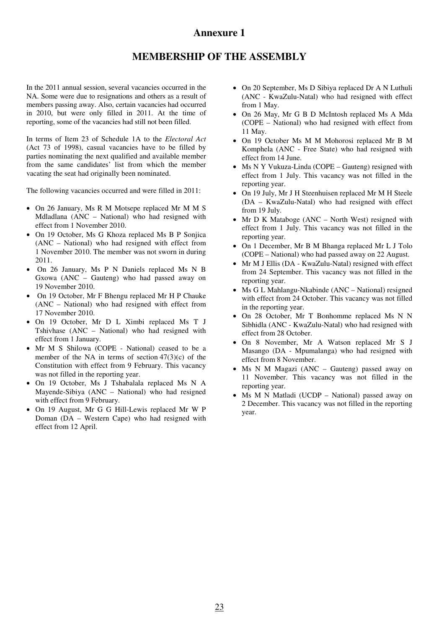# **Annexure 1**

# **MEMBERSHIP OF THE ASSEMBLY**

In the 2011 annual session, several vacancies occurred in the NA. Some were due to resignations and others as a result of members passing away. Also, certain vacancies had occurred in 2010, but were only filled in 2011. At the time of reporting, some of the vacancies had still not been filled.

In terms of Item 23 of Schedule 1A to the *Electoral Act* (Act 73 of 1998), casual vacancies have to be filled by parties nominating the next qualified and available member from the same candidates' list from which the member vacating the seat had originally been nominated.

The following vacancies occurred and were filled in 2011:

- On 26 January, Ms R M Motsepe replaced Mr M M S Mdladlana (ANC – National) who had resigned with effect from 1 November 2010.
- On 19 October, Ms G Khoza replaced Ms B P Sonjica (ANC – National) who had resigned with effect from 1 November 2010. The member was not sworn in during 2011.
- On 26 January, Ms P N Daniels replaced Ms N B Gxowa (ANC – Gauteng) who had passed away on 19 November 2010.
- On 19 October, Mr F Bhengu replaced Mr H P Chauke (ANC – National) who had resigned with effect from 17 November 2010.
- On 19 October, Mr D L Ximbi replaced Ms T J Tshivhase (ANC – National) who had resigned with effect from 1 January.
- Mr M S Shilowa (COPE National) ceased to be a member of the NA in terms of section  $47(3)(c)$  of the Constitution with effect from 9 February. This vacancy was not filled in the reporting year.
- On 19 October, Ms J Tshabalala replaced Ms N A Mayende-Sibiya (ANC – National) who had resigned with effect from 9 February.
- On 19 August, Mr G G Hill-Lewis replaced Mr W P Doman (DA – Western Cape) who had resigned with effect from 12 April.
- On 20 September, Ms D Sibiya replaced Dr A N Luthuli (ANC - KwaZulu-Natal) who had resigned with effect from 1 May.
- On 26 May, Mr G B D McIntosh replaced Ms A Mda (COPE – National) who had resigned with effect from 11 May.
- On 19 October Ms M M Mohorosi replaced Mr B M Komphela (ANC - Free State) who had resigned with effect from 14 June.
- Ms N Y Vukuza-Linda (COPE Gauteng) resigned with effect from 1 July. This vacancy was not filled in the reporting year.
- On 19 July, Mr J H Steenhuisen replaced Mr M H Steele (DA – KwaZulu-Natal) who had resigned with effect from 19 July.
- Mr D K Mataboge (ANC North West) resigned with effect from 1 July. This vacancy was not filled in the reporting year.
- On 1 December, Mr B M Bhanga replaced Mr L J Tolo (COPE – National) who had passed away on 22 August.
- Mr M J Ellis (DA KwaZulu-Natal) resigned with effect from 24 September. This vacancy was not filled in the reporting year.
- Ms G L Mahlangu-Nkabinde (ANC National) resigned with effect from 24 October. This vacancy was not filled in the reporting year.
- On 28 October, Mr T Bonhomme replaced Ms N N Sibhidla (ANC - KwaZulu-Natal) who had resigned with effect from 28 October.
- On 8 November, Mr A Watson replaced Mr S J Masango (DA - Mpumalanga) who had resigned with effect from 8 November.
- Ms N M Magazi (ANC Gauteng) passed away on 11 November. This vacancy was not filled in the reporting year.
- Ms M N Matladi (UCDP National) passed away on 2 December. This vacancy was not filled in the reporting year.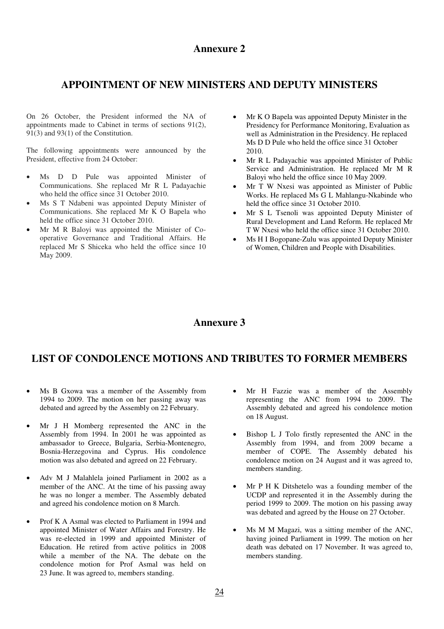## **Annexure 2**

# **APPOINTMENT OF NEW MINISTERS AND DEPUTY MINISTERS**

On 26 October, the President informed the NA of appointments made to Cabinet in terms of sections 91(2), 91(3) and 93(1) of the Constitution.

The following appointments were announced by the President, effective from 24 October:

- Ms D D Pule was appointed Minister of Communications. She replaced Mr R L Padayachie who held the office since  $31$  October 2010.
- Ms S T Ndabeni was appointed Deputy Minister of Communications. She replaced Mr K O Bapela who held the office since 31 October 2010.
- Mr M R Baloyi was appointed the Minister of Cooperative Governance and Traditional Affairs. He replaced Mr S Shiceka who held the office since 10 May 2009.
- Mr K O Bapela was appointed Deputy Minister in the Presidency for Performance Monitoring, Evaluation as well as Administration in the Presidency. He replaced Ms D D Pule who held the office since 31 October 2010.
- Mr R L Padayachie was appointed Minister of Public Service and Administration. He replaced Mr M R Baloyi who held the office since 10 May 2009.
- Mr T W Nxesi was appointed as Minister of Public Works. He replaced Ms G L Mahlangu-Nkabinde who held the office since 31 October 2010.
- Mr S L Tsenoli was appointed Deputy Minister of Rural Development and Land Reform. He replaced Mr T W Nxesi who held the office since 31 October 2010.
- Ms H I Bogopane-Zulu was appointed Deputy Minister of Women, Children and People with Disabilities.

## **Annexure 3**

# **LIST OF CONDOLENCE MOTIONS AND TRIBUTES TO FORMER MEMBERS**

- Ms B Gxowa was a member of the Assembly from 1994 to 2009. The motion on her passing away was debated and agreed by the Assembly on 22 February.
- Mr J H Momberg represented the ANC in the Assembly from 1994. In 2001 he was appointed as ambassador to Greece, Bulgaria, Serbia-Montenegro, Bosnia-Herzegovina and Cyprus. His condolence motion was also debated and agreed on 22 February.
- Adv M J Malahlela joined Parliament in 2002 as a member of the ANC. At the time of his passing away he was no longer a member. The Assembly debated and agreed his condolence motion on 8 March.
- Prof K A Asmal was elected to Parliament in 1994 and appointed Minister of Water Affairs and Forestry. He was re-elected in 1999 and appointed Minister of Education. He retired from active politics in 2008 while a member of the NA. The debate on the condolence motion for Prof Asmal was held on 23 June. It was agreed to, members standing.
- Mr H Fazzie was a member of the Assembly representing the ANC from 1994 to 2009. The Assembly debated and agreed his condolence motion on 18 August.
- Bishop L J Tolo firstly represented the ANC in the Assembly from 1994, and from 2009 became a member of COPE. The Assembly debated his condolence motion on 24 August and it was agreed to, members standing.
- Mr P H K Ditshetelo was a founding member of the UCDP and represented it in the Assembly during the period 1999 to 2009. The motion on his passing away was debated and agreed by the House on 27 October.
- Ms M M Magazi, was a sitting member of the ANC, having joined Parliament in 1999. The motion on her death was debated on 17 November. It was agreed to, members standing.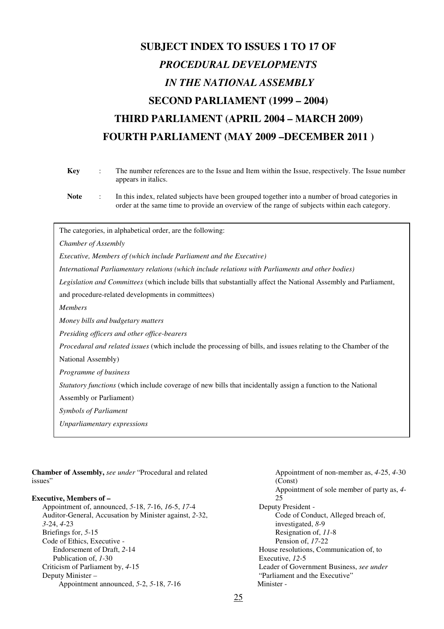# **SUBJECT INDEX TO ISSUES 1 TO 17 OF**  *PROCEDURAL DEVELOPMENTS IN THE NATIONAL ASSEMBLY*  **SECOND PARLIAMENT (1999 – 2004) THIRD PARLIAMENT (APRIL 2004 – MARCH 2009) FOURTH PARLIAMENT (MAY 2009 –DECEMBER 2011 )**

| <b>Key</b>                     | The number references are to the Issue and Item within the Issue, respectively. The Issue number<br>appears in italics.                                                                         |
|--------------------------------|-------------------------------------------------------------------------------------------------------------------------------------------------------------------------------------------------|
| <b>Note</b>                    | In this index, related subjects have been grouped together into a number of broad categories in<br>order at the same time to provide an overview of the range of subjects within each category. |
|                                | The categories, in alphabetical order, are the following:                                                                                                                                       |
| Chamber of Assembly            |                                                                                                                                                                                                 |
|                                | Executive, Members of (which include Parliament and the Executive)                                                                                                                              |
|                                | International Parliamentary relations (which include relations with Parliaments and other bodies)                                                                                               |
|                                | Legislation and Committees (which include bills that substantially affect the National Assembly and Parliament,                                                                                 |
|                                | and procedure-related developments in committees)                                                                                                                                               |
| Members                        |                                                                                                                                                                                                 |
|                                | Money bills and budgetary matters                                                                                                                                                               |
|                                | Presiding officers and other office-bearers                                                                                                                                                     |
|                                | Procedural and related issues (which include the processing of bills, and issues relating to the Chamber of the                                                                                 |
| National Assembly)             |                                                                                                                                                                                                 |
| Programme of business          |                                                                                                                                                                                                 |
|                                | Statutory functions (which include coverage of new bills that incidentally assign a function to the National                                                                                    |
| <b>Assembly or Parliament)</b> |                                                                                                                                                                                                 |
| <b>Symbols of Parliament</b>   |                                                                                                                                                                                                 |
|                                | Unparliamentary expressions                                                                                                                                                                     |
|                                |                                                                                                                                                                                                 |

**Chamber of Assembly,** *see under* "Procedural and related issues"

#### **Executive, Members of –**

Appointment of, announced, *5*-18, *7*-16, *16*-5, *17*-4 Auditor-General, Accusation by Minister against, *2*-32, *3*-24, *4*-23 Briefings for, *5*-15 Code of Ethics, Executive - Endorsement of Draft, *2*-14 Publication of, *1*-30 Criticism of Parliament by, *4*-15 Deputy Minister – Appointment announced, *5*-2, *5*-18, *7*-16

 Appointment of non-member as, *4*-25, *4*-30 (Const) Appointment of sole member of party as, *4*- 25 Deputy President - Code of Conduct, Alleged breach of, investigated, *8*-9 Resignation of, *11*-8 Pension of, *17*-22 House resolutions, Communication of, to Executive, *12*-5 Leader of Government Business, *see under* "Parliament and the Executive" Minister -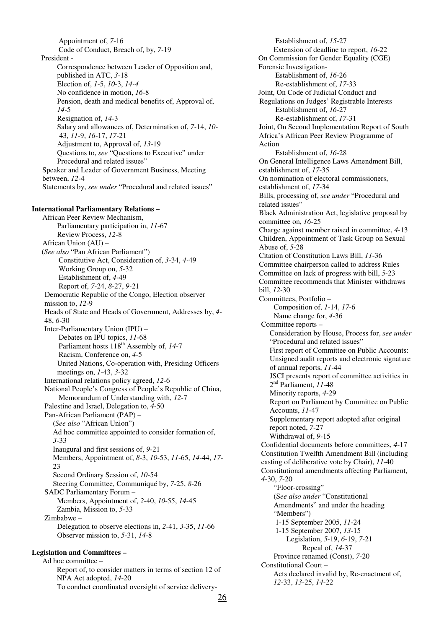Appointment of, *7*-16 Code of Conduct, Breach of, by, *7*-19 President - Correspondence between Leader of Opposition and, published in ATC, *3*-18 Election of, *1*-5, *10*-3, *14-4* No confidence in motion, *16*-8 Pension, death and medical benefits of, Approval of, *14*-5 Resignation of, *14*-3 Salary and allowances of, Determination of, *7-*14, *10*- 43, *11*-9, *16*-17, *17*-21 Adjustment to, Approval of, *13*-19 Questions to, *see* "Questions to Executive" under Procedural and related issues" Speaker and Leader of Government Business, Meeting between, *12*-4 Statements by, *see under* "Procedural and related issues" **International Parliamentary Relations –**  African Peer Review Mechanism,

Parliamentary participation in, *11*-67 Review Process, *12*-8 African Union (AU) – (*See also* "Pan African Parliament") Constitutive Act, Consideration of, *3*-34, *4-*49 Working Group on, *5*-32 Establishment of, *4*-49 Report of, *7*-24, *8*-27, *9-*21 Democratic Republic of the Congo, Election observer mission to, *12*-9 Heads of State and Heads of Government, Addresses by, *4*- 48, *6*-30 Inter-Parliamentary Union (IPU) – Debates on IPU topics, *11*-68 Parliament hosts  $118^{th}$  Assembly of, 14-7 Racism, Conference on, *4*-5 United Nations, Co-operation with, Presiding Officers meetings on, *1*-43, *3*-32 International relations policy agreed, *12*-6 National People's Congress of People's Republic of China, Memorandum of Understanding with, *12*-7 Palestine and Israel, Delegation to, *4*-50 Pan-African Parliament (PAP) – (*See also* "African Union") Ad hoc committee appointed to consider formation of, *3-*33 Inaugural and first sessions of, *9-*21 Members, Appointment of, *8*-3, *10*-53, *11*-65, *14*-44, *17*-  $23$ Second Ordinary Session of, *10*-54 Steering Committee, Communiqué by, *7*-25, *8*-26 SADC Parliamentary Forum – Members, Appointment of, *2*-40, *10*-55, *14*-45 Zambia, Mission to, *5*-33 Zimbabwe – Delegation to observe elections in, *2*-41, *3*-35, *11*-66 Observer mission to, *5*-31, *14*-8 **Legislation and Committees –** 

# Ad hoc committee –

Report of, to consider matters in terms of section 12 of NPA Act adopted, *14*-20 To conduct coordinated oversight of service delivery-

 Establishment of, *15*-27 Extension of deadline to report, *16*-22 On Commission for Gender Equality (CGE) Forensic Investigation- Establishment of, *16*-26 Re-establishment of, *17*-33 Joint, On Code of Judicial Conduct and Regulations on Judges' Registrable Interests Establishment of, *16*-27 Re-establishment of, *17*-31 Joint, On Second Implementation Report of South Africa's African Peer Review Programme of Action Establishment of, *16*-28 On General Intelligence Laws Amendment Bill, establishment of, *17*-35 On nomination of electoral commissioners, establishment of, *17*-34 Bills, processing of, *see under* "Procedural and related issues" Black Administration Act, legislative proposal by committee on, *16*-25 Charge against member raised in committee, *4*-13 Children, Appointment of Task Group on Sexual Abuse of, *5*-28 Citation of Constitution Laws Bill, *11*-36 Committee chairperson called to address Rules Committee on lack of progress with bill, *5*-23 Committee recommends that Minister withdraws bill, *12*-30 Committees, Portfolio – Composition of, *1*-14, *17*-6 Name change for, *4*-36 Committee reports – Consideration by House, Process for, *see under* "Procedural and related issues" First report of Committee on Public Accounts: Unsigned audit reports and electronic signature of annual reports, *11*-44 JSCI presents report of committee activities in 2nd Parliament, *11*-48 Minority reports, *4*-29 Report on Parliament by Committee on Public Accounts, *11*-47 Supplementary report adopted after original report noted, *7*-27 Withdrawal of, *9-*15 Confidential documents before committees, *4*-17 Constitution Twelfth Amendment Bill (including casting of deliberative vote by Chair), *11*-40 Constitutional amendments affecting Parliament, *4*-30, *7*-20 "Floor-crossing" (S*ee also under* "Constitutional Amendments" and under the heading "Members") 1-15 September 2005, *11*-24 1-15 September 2007, *13*-15 Legislation, *5*-19, *6*-19, *7*-21 Repeal of, *14*-37 Province renamed (Const), *7*-20 Constitutional Court – Acts declared invalid by, Re-enactment of, *12*-33, *13*-25, *14*-22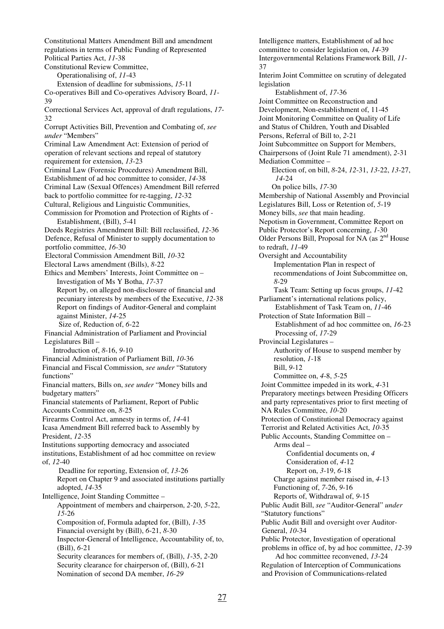Constitutional Matters Amendment Bill and amendment regulations in terms of Public Funding of Represented Political Parties Act, *11*-38 Constitutional Review Committee, Operationalising of, *11*-43 Extension of deadline for submissions, *15*-11 Co-operatives Bill and Co-operatives Advisory Board, *11*- 39 Correctional Services Act, approval of draft regulations, *17*- 32 Corrupt Activities Bill, Prevention and Combating of, *see under* "Members" Criminal Law Amendment Act: Extension of period of operation of relevant sections and repeal of statutory requirement for extension, *13*-23 Criminal Law (Forensic Procedures) Amendment Bill, Establishment of ad hoc committee to consider, *14*-38 Criminal Law (Sexual Offences) Amendment Bill referred back to portfolio committee for re-tagging, *12*-32 Cultural, Religious and Linguistic Communities, Commission for Promotion and Protection of Rights of - Establishment, (Bill), *5*-41 Deeds Registries Amendment Bill: Bill reclassified, *12*-36 Defence, Refusal of Minister to supply documentation to portfolio committee, *16*-30 Electoral Commission Amendment Bill, *10*-32 Electoral Laws amendment (Bills), *8*-22 Ethics and Members' Interests, Joint Committee on – Investigation of Ms Y Botha, *17*-37 Report by, on alleged non-disclosure of financial and pecuniary interests by members of the Executive, *12*-38 Report on findings of Auditor-General and complaint against Minister, *14*-25 Size of, Reduction of, *6*-22 Financial Administration of Parliament and Provincial Legislatures Bill – Introduction of, *8*-16, *9*-10 Financial Administration of Parliament Bill, *10*-36 Financial and Fiscal Commission, *see under* "Statutory functions" Financial matters, Bills on, *see under* "Money bills and budgetary matters" Financial statements of Parliament, Report of Public Accounts Committee on, *8*-25 Firearms Control Act, amnesty in terms of, *14*-41 Icasa Amendment Bill referred back to Assembly by President, *12*-35 Institutions supporting democracy and associated institutions, Establishment of ad hoc committee on review of, *12*-40 Deadline for reporting, Extension of, *13*-26 Report on Chapter 9 and associated institutions partially adopted, *14*-35 Intelligence, Joint Standing Committee – Appointment of members and chairperson, *2*-20, *5*-22, *15*-26 Composition of, Formula adapted for, (Bill), *1*-35 Financial oversight by (Bill), *6*-21, *8*-30 Inspector-General of Intelligence, Accountability of, to, (Bill), *6*-21 Security clearances for members of, (Bill), *1*-35, *2*-20 Security clearance for chairperson of, (Bill), *6*-21 Nomination of second DA member, *16-29* 

Intelligence matters, Establishment of ad hoc committee to consider legislation on, *14*-39 Intergovernmental Relations Framework Bill, *11*- 37 Interim Joint Committee on scrutiny of delegated legislation Establishment of, *17*-36 Joint Committee on Reconstruction and Development, Non-establishment of, 11-45 Joint Monitoring Committee on Quality of Life and Status of Children, Youth and Disabled Persons, Referral of Bill to, *2*-21 Joint Subcommittee on Support for Members, Chairpersons of (Joint Rule 71 amendment), *2*-31 Mediation Committee – Election of, on bill, *8*-24, *12*-31, *13*-22, *13*-27, *14*-24 On police bills, *17*-30 Membership of National Assembly and Provincial Legislatures Bill, Loss or Retention of, *5*-19 Money bills, *see* that main heading. Nepotism in Government, Committee Report on Public Protector's Report concerning, *1*-30 Older Persons Bill, Proposal for NA (as 2nd House to redraft, *11*-49 Oversight and Accountability Implementation Plan in respect of recommendations of Joint Subcommittee on, *8*-29 Task Team: Setting up focus groups, *11*-42 Parliament's international relations policy, Establishment of Task Team on, *11*-46 Protection of State Information Bill – Establishment of ad hoc committee on, *16*-23 Processing of, *17*-29 Provincial Legislatures – Authority of House to suspend member by resolution, *1*-18 Bill, *9*-12 Committee on, *4*-8, *5*-25 Joint Committee impeded in its work, *4*-31 Preparatory meetings between Presiding Officers and party representatives prior to first meeting of NA Rules Committee, *10*-20 Protection of Constitutional Democracy against Terrorist and Related Activities Act, *10*-35 Public Accounts, Standing Committee on – Arms deal – Confidential documents on, *4* Consideration of, *4*-12 Report on, *3*-19, *6*-18 Charge against member raised in, *4*-13 Functioning of, *7*-26, *9*-16 Reports of, Withdrawal of, *9*-15 Public Audit Bill, *see* "Auditor-General" *under*  "Statutory functions" Public Audit Bill and oversight over Auditor-General, *10*-34 Public Protector, Investigation of operational problems in office of, by ad hoc committee, *12*-39 Ad hoc committee reconvened, *13*-24 Regulation of Interception of Communications and Provision of Communications-related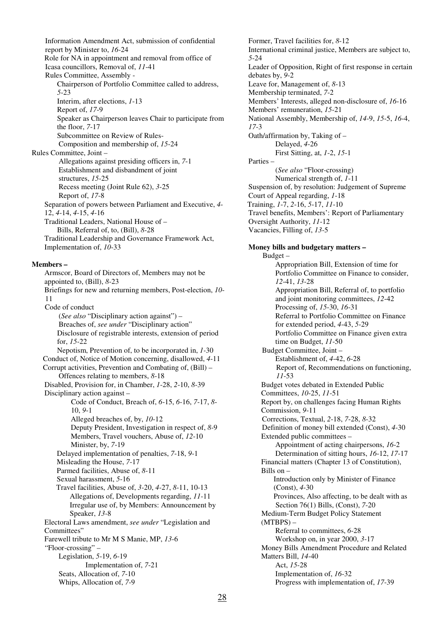Information Amendment Act, submission of confidential report by Minister to, *16*-24 Role for NA in appointment and removal from office of Icasa councillors, Removal of, *11*-41 Rules Committee, Assembly - Chairperson of Portfolio Committee called to address, *5*-23 Interim, after elections, *1*-13 Report of, *17*-9 Speaker as Chairperson leaves Chair to participate from the floor, *7*-17 Subcommittee on Review of Rules- Composition and membership of, *15*-24 Rules Committee, Joint – Allegations against presiding officers in, *7*-1 Establishment and disbandment of joint structures, *15*-25 Recess meeting (Joint Rule 62), *3*-25 Report of, *17*-8 Separation of powers between Parliament and Executive, *4*- 12, *4*-14, *4*-15, *4*-16 Traditional Leaders, National House of – Bills, Referral of, to, (Bill), *8*-28 Traditional Leadership and Governance Framework Act, Implementation of, *10*-33 **Members –**  Armscor, Board of Directors of, Members may not be appointed to, (Bill), *8*-23 Briefings for new and returning members, Post-election, *10*- 11 Code of conduct (*See also* "Disciplinary action against") – Breaches of, *see under* "Disciplinary action" Disclosure of registrable interests, extension of period for, *15*-22 Nepotism, Prevention of, to be incorporated in, *1-*30 Conduct of, Notice of Motion concerning, disallowed, *4*-11 Corrupt activities, Prevention and Combating of, (Bill) – Offences relating to members, *8*-18 Disabled, Provision for, in Chamber, *1*-28, *2*-10, *8*-39 Disciplinary action against – Code of Conduct, Breach of, *6*-15, *6*-16, *7*-17, *8*- 10, *9*-1 Alleged breaches of, by, *10*-12 Deputy President, Investigation in respect of, *8*-9 Members, Travel vouchers, Abuse of, *12*-10 Minister, by, *7*-19 Delayed implementation of penalties, *7*-18, *9*-1 Misleading the House, *7*-17 Parmed facilities, Abuse of, *8*-11 Sexual harassment, *5*-16 Travel facilities, Abuse of, *3*-20, *4*-27, *8*-11, 10-13 Allegations of, Developments regarding, *11*-11 Irregular use of, by Members: Announcement by Speaker, *13*-8 Electoral Laws amendment, *see under* "Legislation and Committees" Farewell tribute to Mr M S Manie, MP, *13*-6 "Floor-crossing" –

 Legislation, *5*-19, *6*-19 Implementation of, *7*-21 Seats, Allocation of, *7*-10 Whips, Allocation of, *7*-9

Former, Travel facilities for, *8*-12 International criminal justice, Members are subject to, *5*-24 Leader of Opposition, Right of first response in certain debates by, *9*-2 Leave for, Management of, *8*-13 Membership terminated, *7*-2 Members' Interests, alleged non-disclosure of, *16*-16 Members' remuneration, *15*-21 National Assembly, Membership of, *14*-9, *15*-5, *16*-4, *17*-3 Oath/affirmation by, Taking of – Delayed, *4*-26 First Sitting, at, *1*-2, *15*-1 Parties – (*See also* "Floor-crossing) Numerical strength of, *1*-11 Suspension of, by resolution: Judgement of Supreme Court of Appeal regarding, *1*-18 Training, *1*-7, *2*-16, *5*-17, *11*-10 Travel benefits, Members': Report of Parliamentary Oversight Authority, *11*-12 Vacancies, Filling of, *13*-5 **Money bills and budgetary matters –**  Budget – Appropriation Bill, Extension of time for Portfolio Committee on Finance to consider, *12*-41, *13*-28 Appropriation Bill, Referral of, to portfolio and joint monitoring committees, *12*-42 Processing of, *15*-30, *16*-31 Referral to Portfolio Committee on Finance for extended period, *4*-43, *5*-29 Portfolio Committee on Finance given extra time on Budget, *11*-50 Budget Committee, Joint – Establishment of, *4*-42, *6*-28 Report of, Recommendations on functioning, *11*-53 Budget votes debated in Extended Public Committees, *10*-25, *11*-51 Report by, on challenges facing Human Rights Commission, *9*-11 Corrections, Textual, *2*-18, *7*-28, *8*-32 Definition of money bill extended (Const), *4*-30 Extended public committees – Appointment of acting chairpersons, *16*-2 Determination of sitting hours, *16*-12, *17*-17 Financial matters (Chapter 13 of Constitution), Bills on – Introduction only by Minister of Finance (Const), *4*-30 Provinces, Also affecting, to be dealt with as Section 76(1) Bills, (Const), *7*-20 Medium-Term Budget Policy Statement  $(MTBPS)$  – Referral to committees, *6*-28 Workshop on, in year 2000, *3*-17 Money Bills Amendment Procedure and Related Matters Bill, *14*-40 Act, *15*-28 Implementation of, *16*-32 Progress with implementation of, *17*-39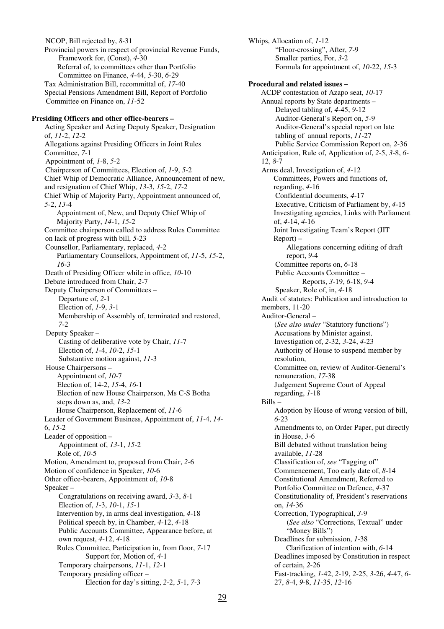NCOP, Bill rejected by, *8*-31 Provincial powers in respect of provincial Revenue Funds, Framework for, (Const), *4*-30 Referral of, to committees other than Portfolio Committee on Finance, *4*-44, *5*-30, *6*-29 Tax Administration Bill, recommittal of, *17*-40 Special Pensions Amendment Bill, Report of Portfolio Committee on Finance on, *11*-52 **Presiding Officers and other office-bearers –**  Acting Speaker and Acting Deputy Speaker, Designation of, *11*-2, *12*-2 Allegations against Presiding Officers in Joint Rules Committee, *7*-1 Appointment of, *1*-8, *5*-2 Chairperson of Committees, Election of, *1*-9, *5*-2 Chief Whip of Democratic Alliance, Announcement of new, and resignation of Chief Whip, *13*-3, *15*-2, *17*-2 Chief Whip of Majority Party, Appointment announced of, *5*-2, *13*-4 Appointment of, New, and Deputy Chief Whip of Majority Party, *14*-1, *15*-2 Committee chairperson called to address Rules Committee on lack of progress with bill, *5*-23 Counsellor, Parliamentary, replaced, *4*-2 Parliamentary Counsellors, Appointment of, *11*-5, *15*-2, *16*-3 Death of Presiding Officer while in office, *10*-10 Debate introduced from Chair, *2*-7 Deputy Chairperson of Committees – Departure of, *2*-1 Election of, *1*-9, *3*-1 Membership of Assembly of, terminated and restored, *7*-2 Deputy Speaker – Casting of deliberative vote by Chair, *11*-7 Election of, *1*-4, *10*-2, *15*-1 Substantive motion against, *11*-3 House Chairpersons – Appointment of, *10*-7 Election of, 14-2, *15*-4, *16*-1 Election of new House Chairperson, Ms C-S Botha steps down as, and, *13*-2 House Chairperson, Replacement of, *11*-6 Leader of Government Business, Appointment of, *11*-4, *14*- 6, *15*-2 Leader of opposition – Appointment of, *13*-1, *15*-2 Role of, *10*-5 Motion, Amendment to, proposed from Chair, *2*-6 Motion of confidence in Speaker, *10*-6 Other office-bearers, Appointment of, *10*-8 Speaker – Congratulations on receiving award, *3*-3, *8*-1 Election of, *1*-3, *10*-1, *15*-1 Intervention by, in arms deal investigation, *4*-18 Political speech by, in Chamber, *4*-12, *4*-18 Public Accounts Committee, Appearance before, at own request, *4*-12, *4*-18 Rules Committee, Participation in, from floor, *7*-17 Support for, Motion of, *4*-1 Temporary chairpersons, *11*-1, *12*-1 Temporary presiding officer – Election for day's sitting, *2*-2, *5*-1, *7*-3

Whips, Allocation of, *1*-12 "Floor-crossing", After, *7*-9 Smaller parties, For, *3*-2 Formula for appointment of, *10*-22, *15*-3 **Procedural and related issues –**  ACDP contestation of Azapo seat, *10*-17 Annual reports by State departments – Delayed tabling of, *4*-45, *9*-12 Auditor-General's Report on, *5*-9 Auditor-General's special report on late tabling of annual reports, *11*-27 Public Service Commission Report on, *2*-36 Anticipation, Rule of, Application of, *2*-5, *3*-8, *6*- 12, *8*-7 Arms deal, Investigation of, *4*-12 Committees, Powers and functions of, regarding, *4*-16 Confidential documents, *4*-17 Executive, Criticism of Parliament by, *4*-15 Investigating agencies, Links with Parliament of, *4*-14, *4*-16 Joint Investigating Team's Report (JIT Report) – Allegations concerning editing of draft report, *9*-4 Committee reports on, *6*-18 Public Accounts Committee – Reports, *3*-19, *6*-18, *9*-4 Speaker, Role of, in, *4*-18 Audit of statutes: Publication and introduction to members, 11-20 Auditor-General – (*See also under* "Statutory functions") Accusations by Minister against, Investigation of, *2*-32, *3*-24, *4*-23 Authority of House to suspend member by resolution, Committee on, review of Auditor-General's remuneration, *17*-38 Judgement Supreme Court of Appeal regarding, *1*-18 Bills – Adoption by House of wrong version of bill, *6*-23 Amendments to, on Order Paper, put directly in House, *3*-6 Bill debated without translation being available, *11*-28 Classification of, *see* "Tagging of" Commencement, Too early date of, *8*-14 Constitutional Amendment, Referred to Portfolio Committee on Defence, *4*-37 Constitutionality of, President's reservations on, *14*-36 Correction, Typographical, *3*-9 (*See also* "Corrections, Textual" under "Money Bills") Deadlines for submission, *1*-38 Clarification of intention with, *6*-14 Deadlines imposed by Constitution in respect of certain, *2*-26 Fast-tracking, *1*-42, *2*-19, *2*-25, *3*-26, *4*-47, *6*- 27, *8*-4, *9*-8, *11*-35, *12*-16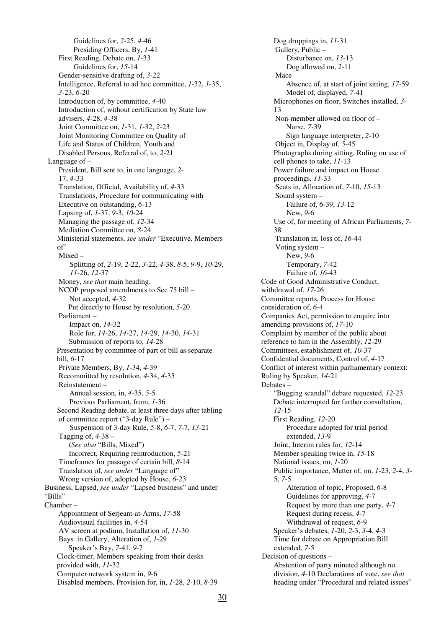Guidelines for, *2*-25, *4*-46 Presiding Officers, By, *1*-41 First Reading, Debate on, *1*-33 Guidelines for, *15*-14 Gender-sensitive drafting of, *3*-22 Intelligence, Referral to ad hoc committee, *1*-32, *1*-35, *3*-23, *6*-20 Introduction of, by committee, *4*-40 Introduction of, without certification by State law advisers, *4*-28, *4*-38 Joint Committee on, *1*-31, *1*-32, *2*-23 Joint Monitoring Committee on Quality of Life and Status of Children, Youth and Disabled Persons, Referral of, to, *2*-21 Language of – President, Bill sent to, in one language, *2*- 17, *4*-33 Translation, Official, Availability of, *4*-33 Translations, Procedure for communicating with Executive on outstanding, *6*-13 Lapsing of, *1*-37, *9*-3, *10*-24 Managing the passage of, *12*-34 Mediation Committee on, *8*-24 Ministerial statements, *see under* "Executive, Members of" Mixed – Splitting of, *2*-19, *2*-22, *3*-22, *4*-38, *8*-5, *9*-9, *10*-29, *11*-26, *12*-37 Money, *see that* main heading. NCOP proposed amendments to Sec 75 bill – Not accepted, *4*-32 Put directly to House by resolution, *5*-20 Parliament – Impact on, *14*-32 Role for, *14*-26, *14*-27, *14*-29, *14*-30, *14*-31 Submission of reports to, *14*-28 Presentation by committee of part of bill as separate bill, *6*-17 Private Members, By, *1*-34, *4*-39 Recommitted by resolution, *4*-34, *4*-35 Reinstatement – Annual session, in, *4*-35, *5*-5 Previous Parliament, from, *1*-36 Second Reading debate, at least three days after tabling of committee report ("3-day Rule") – Suspension of 3-day Rule, *5*-8, *6*-7, *7*-7, *13*-21 Tagging of, *4*-38 – (*See also* "Bills, Mixed") Incorrect, Requiring reintroduction, *5*-21 Timeframes for passage of certain bill, *8*-14 Translation of, *see under* "Language of" Wrong version of, adopted by House, *6*-23 Business, Lapsed, *see under* "Lapsed business" and under "Bills" Chamber – Appointment of Serjeant-at-Arms, *17*-58 Audiovisual facilities in, *4*-54 AV screen at podium, Installation of, *11*-30 Bays in Gallery, Alteration of, *1*-29 Speaker's Bay, *7*-41, *9*-7 Clock-timer, Members speaking from their desks provided with, *11*-32 Computer network system in, *9*-6 Disabled members, Provision for, in, *1*-28, *2*-10, *8*-39

Dog droppings in, *11*-31 Gallery, Public – Disturbance on, *13*-13 Dog allowed on, *2*-11 Mace Absence of, at start of joint sitting, *17*-59 Model of, displayed, *7*-41 Microphones on floor, Switches installed, *3*- 13 Non-member allowed on floor of – Nurse, *7*-39 Sign language interpreter, *2*-10 Object in, Display of, *5*-45 Photographs during sitting, Ruling on use of cell phones to take, *11*-13 Power failure and impact on House proceedings, *11*-33 Seats in, Allocation of, *7*-10, *15*-13 Sound system – Failure of, *6*-39, *13*-12 New, *9*-6 Use of, for meeting of African Parliaments, *7*- 38 Translation in, loss of, *16*-44 Voting system – New, *9*-6 Temporary, *7*-42 Failure of, *16*-43 Code of Good Administrative Conduct, withdrawal of, *17*-26 Committee reports, Process for House consideration of, *6*-4 Companies Act, permission to enquire into amending provisions of, *17*-10 Complaint by member of the public about reference to him in the Assembly, *12*-29 Committees, establishment of, *10*-37 Confidential documents, Control of, *4*-17 Conflict of interest within parliamentary context: Ruling by Speaker, *14*-21 Debates – "Bugging scandal" debate requested, *12*-23 Debate interrupted for further consultation, *12*-15 First Reading, *12*-20 Procedure adopted for trial period extended, *13*-9 Joint, Interim rules for, *12*-14 Member speaking twice in, *15*-18 National issues, on, *1*-20 Public importance, Matter of, on, *1*-23, *2*-4, *3*- 5, *7*-5 Alteration of topic, Proposed, *6*-8 Guidelines for approving, *4*-7 Request by more than one party, *4*-7 Request during recess, *4*-7 Withdrawal of request, *6*-9 Speaker's debates, *1*-20, *2*-3, *3*-4, *4*-3 Time for debate on Appropriation Bill extended, *7*-5 Decision of questions – Abstention of party minuted although no division, *4*-10 Declarations of vote, *see that* heading under "Procedural and related issues"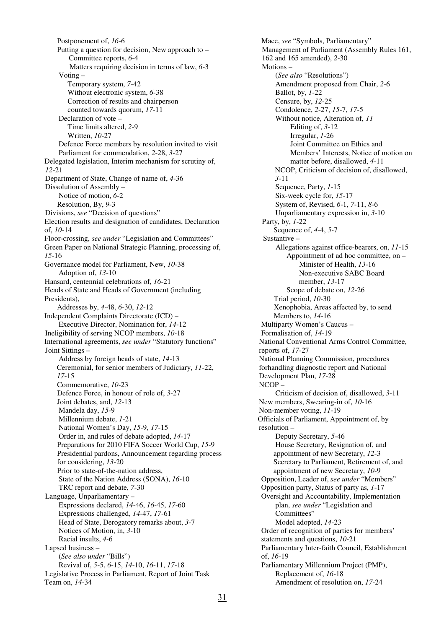Postponement of, *16*-6 Putting a question for decision, New approach to – Committee reports, *6*-4 Matters requiring decision in terms of law, *6*-3 Voting – Temporary system, *7*-42 Without electronic system, *6*-38 Correction of results and chairperson counted towards quorum, *17*-11 Declaration of vote – Time limits altered, *2*-9 Written, *10*-27 Defence Force members by resolution invited to visit Parliament for commendation, *2*-28, *3*-27 Delegated legislation, Interim mechanism for scrutiny of, *12*-21 Department of State, Change of name of, *4*-36 Dissolution of Assembly – Notice of motion, *6*-2 Resolution, By, *9*-3 Divisions, *see* "Decision of questions" Election results and designation of candidates, Declaration of, *10*-14 Floor-crossing, *see under* "Legislation and Committees" Green Paper on National Strategic Planning, processing of, *15*-16 Governance model for Parliament, New, *10*-38 Adoption of, *13*-10 Hansard, centennial celebrations of, *16*-21 Heads of State and Heads of Government (including Presidents), Addresses by, *4*-48, *6*-30, *12*-12 Independent Complaints Directorate (ICD) – Executive Director, Nomination for, *14*-12 Ineligibility of serving NCOP members, *10*-18 International agreements, *see under* "Statutory functions" Joint Sittings – Address by foreign heads of state, *14*-13 Ceremonial, for senior members of Judiciary, *11*-22, *17*-15 Commemorative, *10*-23 Defence Force, in honour of role of, *3*-27 Joint debates, and, *12*-13 Mandela day, *15*-9 Millennium debate, *1*-21 National Women's Day, *15*-9, *17*-15 Order in, and rules of debate adopted, *14*-17 Preparations for 2010 FIFA Soccer World Cup, *15*-9 Presidential pardons, Announcement regarding process for considering, *13*-20 Prior to state-of-the-nation address, State of the Nation Address (SONA), *16*-10 TRC report and debate*, 7*-30 Language, Unparliamentary – Expressions declared, *14*-46, *16*-45, *17*-60 Expressions challenged, *14*-47, *17*-61 Head of State, Derogatory remarks about, *3*-7 Notices of Motion, in, *3*-10 Racial insults, *4*-6 Lapsed business – (*See also under* "Bills") Revival of, *5*-5, *6*-15, *14*-10, *16*-11, *17*-18 Legislative Process in Parliament, Report of Joint Task Team on, *14*-34

Mace, *see* "Symbols, Parliamentary" Management of Parliament (Assembly Rules 161, 162 and 165 amended), *2*-30 Motions – (*See also* "Resolutions") Amendment proposed from Chair, *2*-6 Ballot, by, *1*-22 Censure, by, *12*-25 Condolence, *2*-27, *15*-7, *17*-5 Without notice, Alteration of, *11* Editing of, *3*-12 Irregular, *1*-26 Joint Committee on Ethics and Members' Interests, Notice of motion on matter before, disallowed, *4*-11 NCOP, Criticism of decision of, disallowed, *3*-11 Sequence, Party, *1*-15 Six-week cycle for, *15*-17 System of, Revised, *6*-1, *7*-11, *8*-6 Unparliamentary expression in, *3*-10 Party, by, *1*-22 Sequence of, *4*-4, *5*-7 Sustantive – Allegations against office-bearers, on, *11*-15 Appointment of ad hoc committee, on – Minister of Health, *13*-16 Non-executive SABC Board member, *13*-17 Scope of debate on, *12*-26 Trial period, *10*-30 Xenophobia, Areas affected by, to send Members to, *14*-16 Multiparty Women's Caucus – Formalisation of, *14*-19 National Conventional Arms Control Committee, reports of, *17*-27 National Planning Commission, procedures forhandling diagnostic report and National Development Plan, *17*-28 NCOP – Criticism of decision of, disallowed, *3*-11 New members, Swearing-in of, *10*-16 Non-member voting, *11*-19 Officials of Parliament, Appointment of, by resolution – Deputy Secretary, *5*-46 House Secretary, Resignation of, and appointment of new Secretary, *12*-3 Secretary to Parliament, Retirement of, and appointment of new Secretary, *10*-9 Opposition, Leader of, *see under* "Members" Opposition party, Status of party as, *1*-17 Oversight and Accountability, Implementation plan, *see under* "Legislation and Committees" Model adopted, *14*-23 Order of recognition of parties for members' statements and questions, *10*-21 Parliamentary Inter-faith Council, Establishment of, *16*-19 Parliamentary Millennium Project (PMP), Replacement of, *16*-18 Amendment of resolution on, *17*-24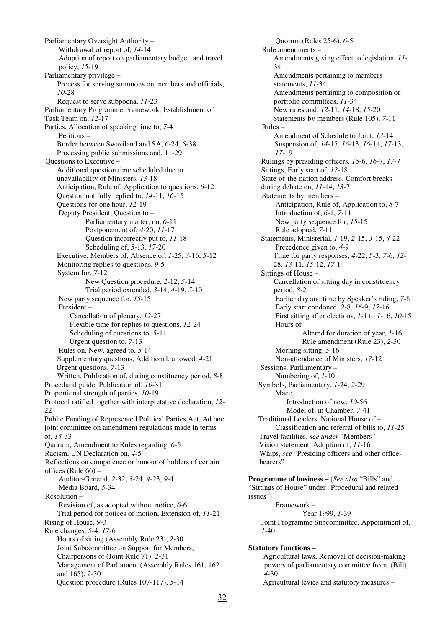Parliamentary Oversight Authority – Withdrawal of report of, *14*-14 Adoption of report on parliamentary budget and travel policy, *15*-19 Parliamentary privilege – Process for serving summons on members and officials, *10*-28 Request to serve subpoena, *11*-23 Parliamentary Programme Framework, Establishment of Task Team on, *12*-17 Parties, Allocation of speaking time to, *7*-4 Petitions – Border between Swaziland and SA, *6*-24, *8*-38 Processing public submissions and, 11-29 Questions to Executive – Additional question time scheduled due to unavailability of Ministers, *13*-18 Anticipation, Rule of, Application to questions, *6*-12 Question not fully replied to, *14*-11, *16*-15 Questions for one hour, *12*-19 Deputy President, Question to – Parliamentary matter, on, *6*-11 Postponement of, *4*-20, *11*-17 Question incorrectly put to, *11*-18 Scheduling of, *5*-13, *17*-20 Executive, Members of, Absence of, *1*-25, *3*-16, *5*-12 Monitoring replies to questions, *9*-5 System for, *7*-12 New Question procedure, *2*-12, *5*-14 Trial period extended, *3*-14, *4*-19, *5*-10 New party sequence for, *15*-15 President – Cancellation of plenary, *12*-27 Flexible time for replies to questions, *12*-24 Scheduling of questions to, *5*-11 Urgent question to, *7*-13 Rules on, New, agreed to, *5*-14 Supplementary questions, Additional, allowed, *4*-21 Urgent questions, *7*-13 Written, Publication of, during constituency period, *8*-8 Procedural guide, Publication of, *10*-31 Proportional strength of parties, *10*-19 Protocol ratified together with interpretative declaration, *12*- 22 Public Funding of Represented Political Parties Act, Ad hoc joint committee on amendment regulations made in terms of, *14*-33 Quorum, Amendment to Rules regarding, *6*-5 Racism, UN Declaration on, *4*-5 Reflections on competence or honour of holders of certain offices (Rule 66) – Auditor-General, *2*-32, *3*-24, *4*-23, *9*-4 Media Board, *5*-34 Resolution – Revision of, as adopted without notice, *6*-6 Trial period for notices of motion, Extension of, *11*-21 Rising of House, *9*-3 Rule changes, *5*-4, *17*-6 Hours of sitting (Assembly Rule 23), *2*-30 Joint Subcommittee on Support for Members, Chairpersons of (Joint Rule 71), *2*-31 Management of Parliament (Assembly Rules 161, 162 and 165), *2*-30 Question procedure (Rules 107-117), *5*-14

 Quorum (Rules 25-6), *6*-5 Rule amendments – Amendments giving effect to legislation, *11*- 34 Amendments pertaining to members' statements, *11*-34 Amendments pertaining to composition of portfolio committees, *11*-34 New rules and, *12*-11, *14*-18, *15*-20 Statements by members (Rule 105), *7*-11 Rules – Amendment of Schedule to Joint, *13*-14 Suspension of, *14*-15, *16*-13, *16*-14, *17*-13, *17*-19 Rulings by presiding officers, *15*-6, *16*-7, *17*-7 Sittings, Early start of, *12*-18 State-of-the-nation address, Comfort breaks during debate on, *11*-14, *13*-7 Statements by members – Anticipation, Rule of, Application to, *8*-7 Introduction of, *6*-1, *7*-11 New party sequence for, *15*-15 Rule adopted, *7*-11 Statements, Ministerial, *1*-19, *2*-15, *3*-15, *4*-22 Precedence given to, *4*-9 Time for party responses, *4*-22, *5*-3, *7*-6, *12*- 28, *13*-11, *15*-12, *17*-14 Sittings of House – Cancellation of sitting day in constituency period, *8*-2 Earlier day and time by Speaker's ruling, *7*-8 Early start condoned, *2*-8, *16*-9, *17*-16 First sitting after elections, *1*-1 to *1*-16, *10*-15 Hours of – Altered for duration of year, *1*-16 Rule amendment (Rule 23), *2*-30 Morning sitting, *5*-16 Non-attendance of Ministers, *17*-12 Sessions, Parliamentary – Numbering of, *1*-10 Symbols, Parliamentary, *1*-24, *2*-29 Mace, Introduction of new, *10*-56 Model of, in Chamber, *7*-41 Traditional Leaders, National House of – Classification and referral of bills to, *11*-25 Travel facilities, *see under* "Members" Vision statement, Adoption of, *11*-16 Whips, *see* "Presiding officers and other officebearers" **Programme of business –** (*See also* "Bills" and "Sittings of House" under "Procedural and related issues") Framework –

 Year 1999, *1*-39 Joint Programme Subcommittee, Appointment of, *1*-40

**Statutory functions –** 

Agricultural laws, Removal of decision-making powers of parliamentary committee from, (Bill), *4*-30

Agricultural levies and statutory measures –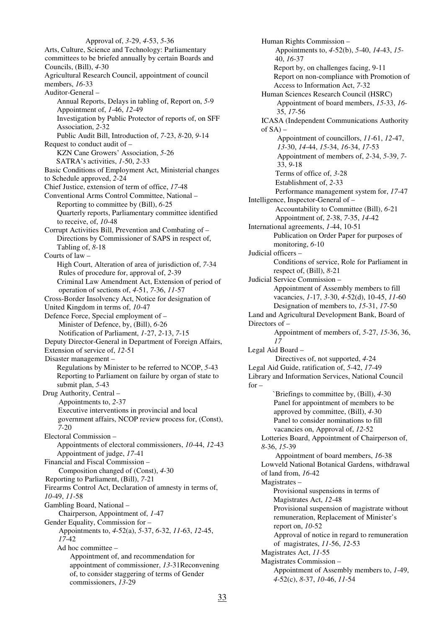Approval of, *3*-29, *4*-53, *5*-36 Arts, Culture, Science and Technology: Parliamentary committees to be briefed annually by certain Boards and Councils, (Bill), *4*-30 Agricultural Research Council, appointment of council members, *16*-33 Auditor-General – Annual Reports, Delays in tabling of, Report on, *5*-9 Appointment of, *1*-46, *12*-49 Investigation by Public Protector of reports of, on SFF Association, *2*-32 Public Audit Bill, Introduction of, *7*-23, *8*-20, *9*-14 Request to conduct audit of – KZN Cane Growers' Association, *5*-26 SATRA's activities, *1*-50, *2*-33 Basic Conditions of Employment Act, Ministerial changes to Schedule approved, *2*-24 Chief Justice, extension of term of office, *17*-48 Conventional Arms Control Committee, National – Reporting to committee by (Bill), *6*-25 Quarterly reports, Parliamentary committee identified to receive, of, *10*-48 Corrupt Activities Bill, Prevention and Combating of – Directions by Commissioner of SAPS in respect of, Tabling of, *8*-18 Courts of law – High Court, Alteration of area of jurisdiction of, *7*-34 Rules of procedure for, approval of, *2*-39 Criminal Law Amendment Act, Extension of period of operation of sections of, *4*-51, *7*-36, *11*-57 Cross-Border Insolvency Act, Notice for designation of United Kingdom in terms of, *10*-47 Defence Force, Special employment of – Minister of Defence, by, (Bill), *6*-26 Notification of Parliament, *1*-27, *2*-13, *7*-15 Deputy Director-General in Department of Foreign Affairs, Extension of service of, *12*-51 Disaster management – Regulations by Minister to be referred to NCOP, *5*-43 Reporting to Parliament on failure by organ of state to submit plan, *5*-43 Drug Authority, Central – Appointments to, *2*-37 Executive interventions in provincial and local government affairs, NCOP review process for, (Const), *7*-20 Electoral Commission – Appointments of electoral commissioners, *10*-44, *12*-43 Appointment of judge, *17*-41 Financial and Fiscal Commission – Composition changed of (Const), *4*-30 Reporting to Parliament, (Bill), *7*-21 Firearms Control Act, Declaration of amnesty in terms of, *10*-49, *11*-58 Gambling Board, National – Chairperson, Appointment of, *1*-47 Gender Equality, Commission for – Appointments to, *4*-52(a), *5*-37, *6*-32, *11*-63, *12*-45, *17*-42 Ad hoc committee – Appointment of, and recommendation for appointment of commissioner, *13*-31Reconvening of, to consider staggering of terms of Gender commissioners, *13*-29

Human Rights Commission – Appointments to, *4*-52(b), *5*-40, *14*-43, *15*- 40, *16*-37 Report by, on challenges facing, 9-11 Report on non-compliance with Promotion of Access to Information Act, *7*-32 Human Sciences Research Council (HSRC) Appointment of board members, *15*-33, *16*- 35, *17*-56 ICASA (Independent Communications Authority of  $SA$ ) – Appointment of councillors, *11*-61, *12*-47, *13*-30, *14*-44, *15*-34, *16*-34, *17*-53 Appointment of members of, *2*-34, *5*-39, *7*- 33, *9*-18 Terms of office of, *3*-28 Establishment of, *2*-33 Performance management system for, *17*-47 Intelligence, Inspector-General of – Accountability to Committee (Bill), *6*-21 Appointment of, *2*-38, *7*-35, *14*-42 International agreements, *1*-44, 10-51 Publication on Order Paper for purposes of monitoring, *6*-10 Judicial officers – Conditions of service, Role for Parliament in respect of, (Bill), *8*-21 Judicial Service Commission – Appointment of Assembly members to fill vacancies, *1*-17, *3*-30, *4*-52(d), 10-45, *11*-60 Designation of members to, *15*-31, *17*-50 Land and Agricultural Development Bank, Board of Directors of – Appointment of members of, *5*-27, *15*-36, 36, *17*  Legal Aid Board – Directives of, not supported, *4*-24 Legal Aid Guide, ratification of, *5*-42, *17*-49 Library and Information Services, National Council for – `Briefings to committee by, (Bill), *4*-30 Panel for appointment of members to be approved by committee, (Bill), *4*-30 Panel to consider nominations to fill vacancies on, Approval of, *12*-52 Lotteries Board, Appointment of Chairperson of, *8*-36, *15*-39 Appointment of board members, *16*-38 Lowveld National Botanical Gardens, withdrawal of land from, *16*-42 Magistrates – Provisional suspensions in terms of Magistrates Act, *12*-48 Provisional suspension of magistrate without remuneration, Replacement of Minister's report on, *10*-52 Approval of notice in regard to remuneration of magistrates, *11*-56, *12*-53 Magistrates Act, *11*-55 Magistrates Commission – Appointment of Assembly members to, *1*-49, *4*-52(c), *8*-37, *10*-46, *11*-54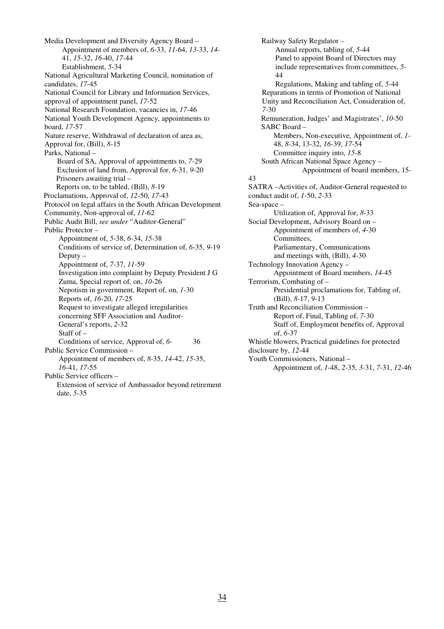Media Development and Diversity Agency Board – Appointment of members of, *6*-33, *11*-64, *13*-33, *14*- 41, *15*-32, *16*-40, *17*-44 Establishment, *5*-34 National Agricultural Marketing Council, nomination of candidates, *17*-45 National Council for Library and Information Services, approval of appointment panel, *17*-52 National Research Foundation, vacancies in, *17*-46 National Youth Development Agency, appointments to board, *17*-57 Nature reserve, Withdrawal of declaration of area as, Approval for, (Bill), *8*-15 Parks, National – Board of SA, Approval of appointments to, *7*-29 Exclusion of land from, Approval for, *6*-31, *9*-20 Prisoners awaiting trial – Reports on, to be tabled, (Bill), *8*-19 Proclamations, Approval of, *12*-50, *17*-43 Protocol on legal affairs in the South African Development Community, Non-approval of, *11*-62 Public Audit Bill, *see under* "Auditor-General" Public Protector – Appointment of, *5*-38, *6*-34, *15*-38 Conditions of service of, Determination of, *6*-35, *9*-19 Deputy – Appointment of, *7*-37, *11*-59 Investigation into complaint by Deputy President J G Zuma, Special report of, on, *10*-26 Nepotism in government, Report of, on, *1*-30 Reports of, *16*-20, *17*-25 Request to investigate alleged irregularities concerning SFF Association and Auditor- General's reports, *2*-32 Staff of – Conditions of service, Approval of, *6*- 36 Public Service Commission – Appointment of members of, *8*-35, *14*-42, *15*-35, *16*-41, *17*-55 Public Service officers – Extension of service of Ambassador beyond retirement

date, *5*-35

Railway Safety Regulator – Annual reports, tabling of, *5*-44 Panel to appoint Board of Directors may include representatives from committees, *5*- 44 Regulations, Making and tabling of, *5*-44 Reparations in terms of Promotion of National Unity and Reconciliation Act, Consideration of, *7*-30 Remuneration, Judges' and Magistrates', *10*-50 SABC Board – Members, Non-executive, Appointment of, *1*- 48, *8*-34, 13-32, *16*-39, *17*-54 Committee inquiry into, *15*-8 South African National Space Agency – Appointment of board members, 15- 43 SATRA –Activities of, Auditor-General requested to conduct audit of, *1*-50, *2*-33 Sea-space – Utilization of, Approval for, *8*-33 Social Development, Advisory Board on – Appointment of members of, *4*-30 Committees, Parliamentary, Communications and meetings with, (Bill), *4*-30 Technology Innovation Agency – Appointment of Board members, *14*-45 Terrorism, Combating of – Presidential proclamations for, Tabling of, (Bill), *8*-17, *9*-13 Truth and Reconciliation Commission – Report of, Final, Tabling of, *7*-30 Staff of, Employment benefits of, Approval of, *6*-37 Whistle blowers, Practical guidelines for protected disclosure by, *12*-44 Youth Commissioners, National – Appointment of, *1*-48, *2*-35, *3*-31, *7*-31, *12*-46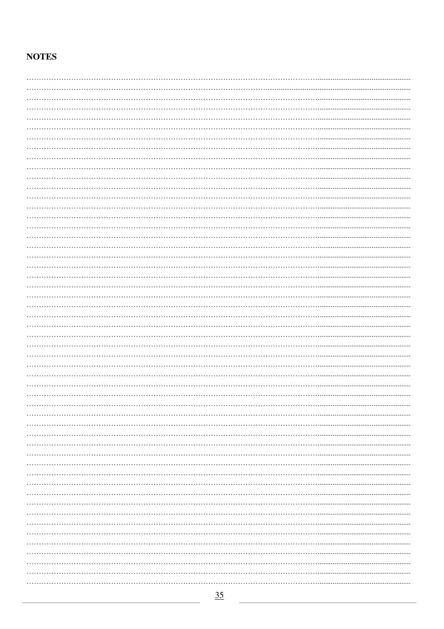# **NOTES**